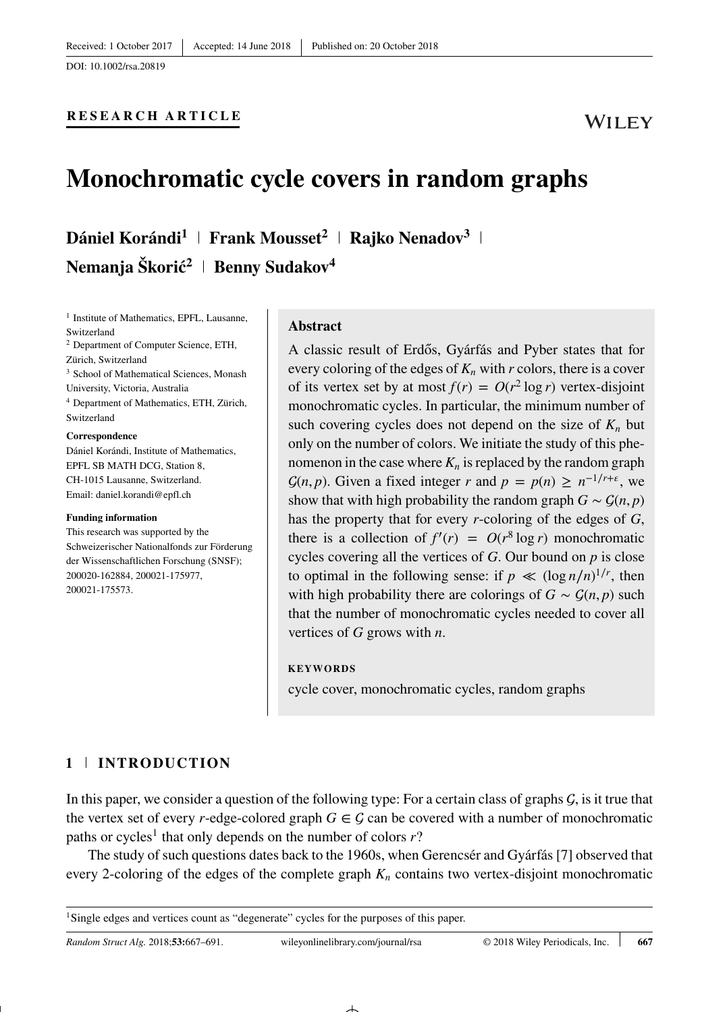**RESEARCH ARTICLE**

# **Monochromatic cycle covers in random graphs**

**Dániel Korándi<sup>1</sup> Frank Mousset<sup>2</sup> Rajko Nenadov<sup>3</sup> Nemanja Škorić<sup>2</sup> | Benny Sudakov<sup>4</sup>** 

<sup>1</sup> Institute of Mathematics, EPFL, Lausanne, Switzerland <sup>2</sup> Department of Computer Science, ETH, Zürich, Switzerland <sup>3</sup> School of Mathematical Sciences, Monash University, Victoria, Australia <sup>4</sup> Department of Mathematics, ETH, Zürich, Switzerland **Correspondence** Dániel Korándi, Institute of Mathematics,

EPFL SB MATH DCG, Station 8, CH-1015 Lausanne, Switzerland. Email: daniel.korandi@epfl.ch

#### **Funding information**

This research was supported by the Schweizerischer Nationalfonds zur Förderung der Wissenschaftlichen Forschung (SNSF); 200020-162884, 200021-175977, 200021-175573.

#### **Abstract**

A classic result of Erdős, Gyárfás and Pyber states that for every coloring of the edges of  $K_n$  with  $r$  colors, there is a cover of its vertex set by at most  $f(r) = O(r^2 \log r)$  vertex-disjoint monochromatic cycles. In particular, the minimum number of such covering cycles does not depend on the size of  $K_n$  but only on the number of colors. We initiate the study of this phenomenon in the case where  $K_n$  is replaced by the random graph  $\mathcal{G}(n, p)$ . Given a fixed integer *r* and  $p = p(n) \geq n^{-1/r + \epsilon}$ , we show that with high probability the random graph  $G \sim \mathcal{G}(n, p)$ has the property that for every *r*-coloring of the edges of *G*, there is a collection of  $f'(r) = O(r^8 \log r)$  monochromatic cycles covering all the vertices of *G*. Our bound on *p* is close to optimal in the following sense: if  $p \ll (\log n/n)^{1/r}$ , then with high probability there are colorings of  $G \sim \mathcal{G}(n, p)$  such that the number of monochromatic cycles needed to cover all vertices of *G* grows with *n*.

#### **KEYWORDS**

cycle cover, monochromatic cycles, random graphs

## **1 INTRODUCTION**

In this paper, we consider a question of the following type: For a certain class of graphs  $G$ , is it true that the vertex set of every *r*-edge-colored graph  $G \in \mathcal{G}$  can be covered with a number of monochromatic paths or cycles<sup>1</sup> that only depends on the number of colors  $r$ ?

The study of such questions dates back to the 1960s, when Gerencsér and Gyárfás [7] observed that every 2-coloring of the edges of the complete graph  $K_n$  contains two vertex-disjoint monochromatic

<span id="page-0-0"></span><sup>&</sup>lt;sup>1</sup>Single edges and vertices count as "degenerate" cycles for the purposes of this paper.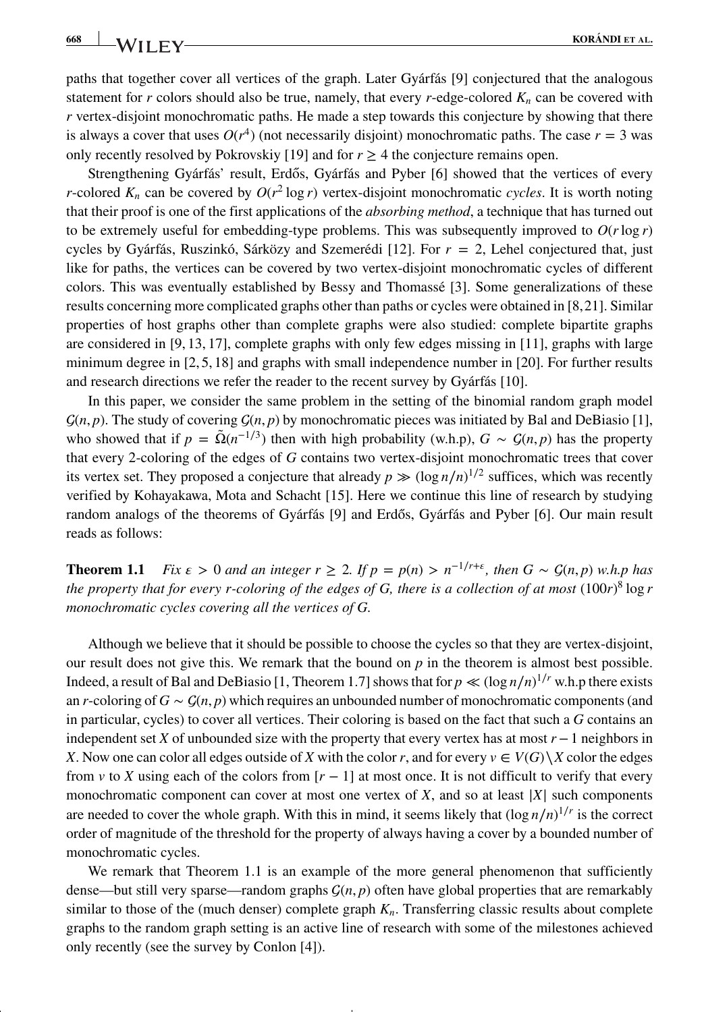**668 KORÁNDI ET AL.**<br>**KORÁNDI ET AL.** 

paths that together cover all vertices of the graph. Later Gyárfás [9] conjectured that the analogous statement for *r* colors should also be true, namely, that every *r*-edge-colored  $K_n$  can be covered with *r* vertex-disjoint monochromatic paths. He made a step towards this conjecture by showing that there is always a cover that uses  $O(r^4)$  (not necessarily disjoint) monochromatic paths. The case  $r = 3$  was only recently resolved by Pokrovskiy [19] and for  $r \geq 4$  the conjecture remains open.

Strengthening Gyárfás' result, Erdős, Gyárfás and Pyber [6] showed that the vertices of every *r*-colored  $K_n$  can be covered by  $O(r^2 \log r)$  vertex-disjoint monochromatic *cycles*. It is worth noting that their proof is one of the first applications of the *absorbing method*, a technique that has turned out to be extremely useful for embedding-type problems. This was subsequently improved to  $O(r \log r)$ cycles by Gyárfás, Ruszinkó, Sárközy and Szemerédi [12]. For *r* = 2, Lehel conjectured that, just like for paths, the vertices can be covered by two vertex-disjoint monochromatic cycles of different colors. This was eventually established by Bessy and Thomassé [3]. Some generalizations of these results concerning more complicated graphs other than paths or cycles were obtained in [8,21]. Similar properties of host graphs other than complete graphs were also studied: complete bipartite graphs are considered in [9, 13, 17], complete graphs with only few edges missing in [11], graphs with large minimum degree in [2, 5, 18] and graphs with small independence number in [20]. For further results and research directions we refer the reader to the recent survey by Gyárfás [10].

In this paper, we consider the same problem in the setting of the binomial random graph model  $\mathcal{G}(n, p)$ . The study of covering  $\mathcal{G}(n, p)$  by monochromatic pieces was initiated by Bal and DeBiasio [1], who showed that if  $p = \tilde{\Omega}(n^{-1/3})$  then with high probability (w.h.p),  $G \sim \mathcal{G}(n, p)$  has the property that every 2-coloring of the edges of *G* contains two vertex-disjoint monochromatic trees that cover its vertex set. They proposed a conjecture that already  $p \gg (\log n/n)^{1/2}$  suffices, which was recently verified by Kohayakawa, Mota and Schacht [15]. Here we continue this line of research by studying random analogs of the theorems of Gyárfás [9] and Erdős, Gyárfás and Pyber [6]. Our main result reads as follows:

**Theorem 1.1** *Fix*  $\epsilon$  > 0 *and an integer r* ≥ 2*. If*  $p = p(n) > n^{-1/r+\epsilon}$ , then  $G \sim \mathcal{G}(n, p)$  *w.h.p has the property that for every r-coloring of the edges of G, there is a collection of at most* (100*r*) <sup>8</sup> log *r monochromatic cycles covering all the vertices of G.*

Although we believe that it should be possible to choose the cycles so that they are vertex-disjoint, our result does not give this. We remark that the bound on  $p$  in the theorem is almost best possible. Indeed, a result of Bal and DeBiasio [1, Theorem 1.7] shows that for  $p \ll (\log n/n)^{1/r}$  w.h.p there exists an *r*-coloring of  $G \sim \mathcal{G}(n, p)$  which requires an unbounded number of monochromatic components (and in particular, cycles) to cover all vertices. Their coloring is based on the fact that such a *G* contains an independent set *X* of unbounded size with the property that every vertex has at most *r*−1 neighbors in *X*. Now one can color all edges outside of *X* with the color *r*, and for every  $v \in V(G) \setminus X$  color the edges from *v* to *X* using each of the colors from  $[r - 1]$  at most once. It is not difficult to verify that every monochromatic component can cover at most one vertex of *<sup>X</sup>*, and so at least <sup>|</sup>*X*<sup>|</sup> such components are needed to cover the whole graph. With this in mind, it seems likely that (log *n*∕*n*) <sup>1</sup>∕*<sup>r</sup>* is the correct order of magnitude of the threshold for the property of always having a cover by a bounded number of monochromatic cycles.

We remark that Theorem 1.1 is an example of the more general phenomenon that sufficiently dense—but still very sparse—random graphs (*n, p*) often have global properties that are remarkably similar to those of the (much denser) complete graph  $K_n$ . Transferring classic results about complete graphs to the random graph setting is an active line of research with some of the milestones achieved only recently (see the survey by Conlon [4]).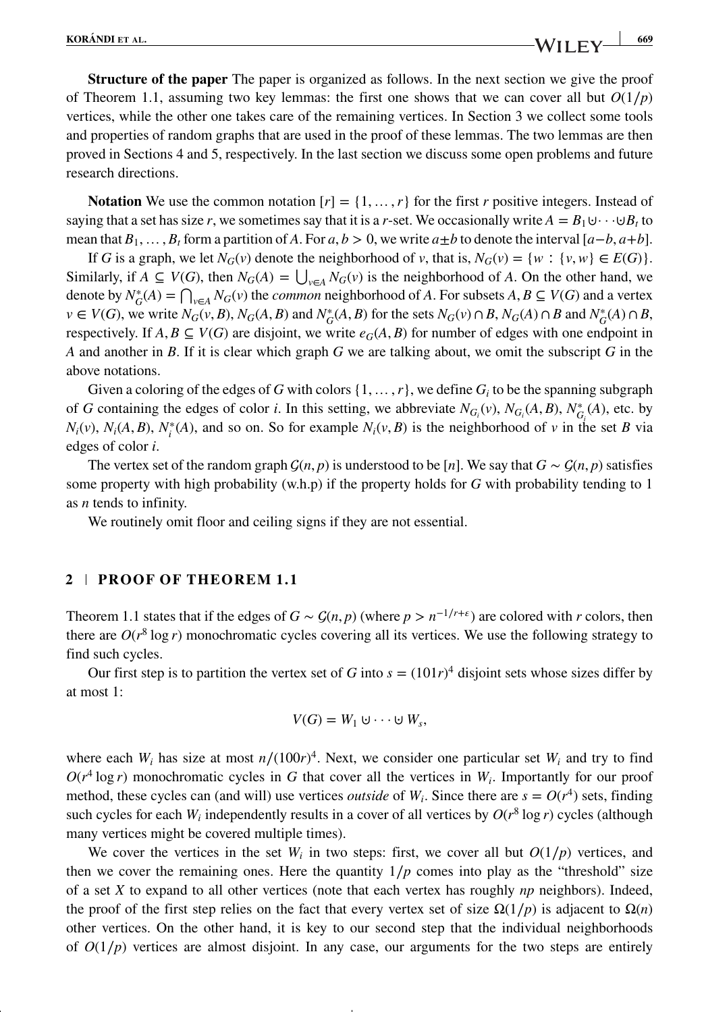**Structure of the paper** The paper is organized as follows. In the next section we give the proof of Theorem 1.1, assuming two key lemmas: the first one shows that we can cover all but  $O(1/p)$ vertices, while the other one takes care of the remaining vertices. In Section 3 we collect some tools and properties of random graphs that are used in the proof of these lemmas. The two lemmas are then proved in Sections 4 and 5, respectively. In the last section we discuss some open problems and future research directions.

**Notation** We use the common notation  $[r] = \{1, \ldots, r\}$  for the first *r* positive integers. Instead of saying that a set has size *r*, we sometimes say that it is a *r*-set. We occasionally write  $A = B_1 \cup \cdots \cup B_t$  to mean that  $B_1, \ldots, B_t$  form a partition of *A*. For  $a, b > 0$ , we write  $a \pm b$  to denote the interval  $[a - b, a + b]$ .

If *G* is a graph, we let  $N_G(v)$  denote the neighborhood of *v*, that is,  $N_G(v) = \{w : \{v, w\} \in E(G)\}.$ Similarly, if  $A \subseteq V(G)$ , then  $N_G(A) = \bigcup_{v \in A} N_G(v)$  is the neighborhood of *A*. On the other hand, we denote by  $N_G^*(A) = \bigcap_{v \in A} N_G(v)$  the *common* neighborhood of *A*. For subsets  $A, B \subseteq V(G)$  and a vertex  $v \in V(G)$ , we write  $N_G(v, B)$ ,  $N_G(A, B)$  and  $N_G^*(A, B)$  for the sets  $N_G(v) \cap B$ ,  $N_G(A) \cap B$  and  $N_G^*(A) \cap B$ , respectively. If  $A, B \subseteq V(G)$  are disjoint, we write  $e_G(A, B)$  for number of edges with one endpoint in *A* and another in *B*. If it is clear which graph *G* we are talking about, we omit the subscript *G* in the above notations.

Given a coloring of the edges of *G* with colors  $\{1, \ldots, r\}$ , we define  $G_i$  to be the spanning subgraph of *G* containing the edges of color *i*. In this setting, we abbreviate  $N_{G_i}(v)$ ,  $N_{G_i}(A, B)$ ,  $N_{G_i}^*(A)$ , etc. by *N<sub>i</sub>*(*v*), *N<sub>i</sub>*(*A*, *B*), *N*<sup>\*</sup><sub>*i*</sub>(*A*), and so on. So for example *N<sub>i</sub>*(*v*, *B*) is the neighborhood of *v* in the set *B* via edges of color *i*.

The vertex set of the random graph  $G(n, p)$  is understood to be [*n*]. We say that  $G \sim G(n, p)$  satisfies some property with high probability (w.h.p) if the property holds for *G* with probability tending to 1 as *n* tends to infinity.

We routinely omit floor and ceiling signs if they are not essential.

#### **2 PROOF OF THEOREM 1.1**

Theorem 1.1 states that if the edges of  $G \sim G(n, p)$  (where  $p > n^{-1/r+\epsilon}$ ) are colored with *r* colors, then there are  $O(r^8 \log r)$  monochromatic cycles covering all its vertices. We use the following strategy to find such cycles.

Our first step is to partition the vertex set of *G* into  $s = (101r)^4$  disjoint sets whose sizes differ by at most 1:

$$
V(G)=W_1\cup\cdots\cup W_s,
$$

where each  $W_i$  has size at most  $n/(100r)^4$ . Next, we consider one particular set  $W_i$  and try to find  $O(r^4 \log r)$  monochromatic cycles in *G* that cover all the vertices in  $W_i$ . Importantly for our proof method, these cycles can (and will) use vertices *outside* of  $W_i$ . Since there are  $s = O(r^4)$  sets, finding such cycles for each  $W_i$  independently results in a cover of all vertices by  $O(r^8 \log r)$  cycles (although many vertices might be covered multiple times).

We cover the vertices in the set  $W_i$  in two steps: first, we cover all but  $O(1/p)$  vertices, and then we cover the remaining ones. Here the quantity  $1/p$  comes into play as the "threshold" size of a set *X* to expand to all other vertices (note that each vertex has roughly *np* neighbors). Indeed, the proof of the first step relies on the fact that every vertex set of size  $\Omega(1/p)$  is adjacent to  $\Omega(n)$ other vertices. On the other hand, it is key to our second step that the individual neighborhoods of  $O(1/p)$  vertices are almost disjoint. In any case, our arguments for the two steps are entirely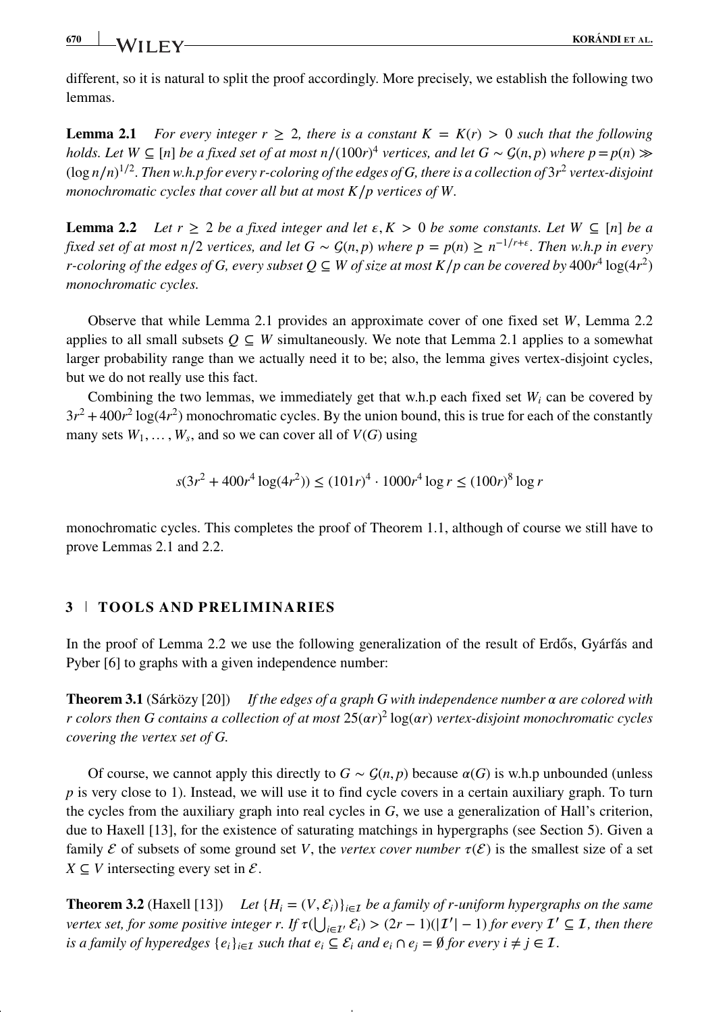**670 KORÁNDI ET AL.**

different, so it is natural to split the proof accordingly. More precisely, we establish the following two lemmas.

**Lemma 2.1** For every integer  $r \geq 2$ , there is a constant  $K = K(r) > 0$  such that the following *holds. Let W*  $\subseteq$  [*n*] *be a fixed set of at most n*/(100*r*)<sup>4</sup> *vertices, and let G* ~  $\mathcal{G}(n, p)$  *where p*=*p*(*n*)  $\gg$ (log *n*∕*n*) <sup>1</sup>∕<sup>2</sup>*. Then w.h.p for every r-coloring of the edges of G, there is a collection of* 3*r*<sup>2</sup> *vertex-disjoint monochromatic cycles that cover all but at most K*∕*p vertices of W.*

**Lemma 2.2** *Let*  $r \geq 2$  *be a fixed integer and let*  $\epsilon, K > 0$  *be some constants. Let*  $W \subseteq [n]$  *be a fixed set of at most n*/2 *vertices, and let*  $G \sim G(n, p)$  *where*  $p = p(n) \ge n^{-1/r + \epsilon}$ . Then *w.h.p in every r*-coloring of the edges of G, every subset  $Q \subseteq W$  of size at most  $K/p$  can be covered by 400 $r^4$  log(4 $r^2$ ) *monochromatic cycles.*

Observe that while Lemma 2.1 provides an approximate cover of one fixed set *W*, Lemma 2.2 applies to all small subsets  $Q \subseteq W$  simultaneously. We note that Lemma 2.1 applies to a somewhat larger probability range than we actually need it to be; also, the lemma gives vertex-disjoint cycles, but we do not really use this fact.

Combining the two lemmas, we immediately get that w.h.p each fixed set  $W_i$  can be covered by  $3r^2 + 400r^2 \log(4r^2)$  monochromatic cycles. By the union bound, this is true for each of the constantly many sets  $W_1, \ldots, W_s$ , and so we can cover all of  $V(G)$  using

$$
s(3r^2 + 400r^4 \log(4r^2)) \le (101r)^4 \cdot 1000r^4 \log r \le (100r)^8 \log r
$$

monochromatic cycles. This completes the proof of Theorem 1.1, although of course we still have to prove Lemmas 2.1 and 2.2.

## **3 TOOLS AND PRELIMINARIES**

In the proof of Lemma 2.2 we use the following generalization of the result of Erdős, Gyárfás and Pyber [6] to graphs with a given independence number:

**Theorem 3.1** (Sárközy [20]) *If the edges of a graph G with independence number*  $\alpha$  are colored with *r colors then G contains a collection of at most* 25(*r*) <sup>2</sup> log(*r*) *vertex-disjoint monochromatic cycles covering the vertex set of G.*

Of course, we cannot apply this directly to  $G \sim \mathcal{G}(n, p)$  because  $\alpha(G)$  is w.h.p unbounded (unless *p* is very close to 1). Instead, we will use it to find cycle covers in a certain auxiliary graph. To turn the cycles from the auxiliary graph into real cycles in *G*, we use a generalization of Hall's criterion, due to Haxell [13], for the existence of saturating matchings in hypergraphs (see Section 5). Given a family  $\mathcal E$  of subsets of some ground set V, the *vertex cover number*  $\tau(\mathcal E)$  is the smallest size of a set *X*  $\subseteq$  *V* intersecting every set in  $\mathcal{E}$ .

**Theorem 3.2** (Haxell [13]) Let  ${H_i = (V, \mathcal{E}_i)}_{i \in \mathcal{I}}$  *be a family of r-uniform hypergraphs on the same vertex set, for some positive integer r. If*  $\tau(\bigcup_{i \in I'} \mathcal{E}_i) > (2r - 1)(|I'| - 1)$  *for every*  $I' \subseteq I$ *, then there is a family of hyperedges*  $\{e_i\}_{i \in I}$  *such that*  $e_i \subseteq \mathcal{E}_i$  *and*  $e_i \cap e_j = \emptyset$  *for every*  $i \neq j \in I$ *.*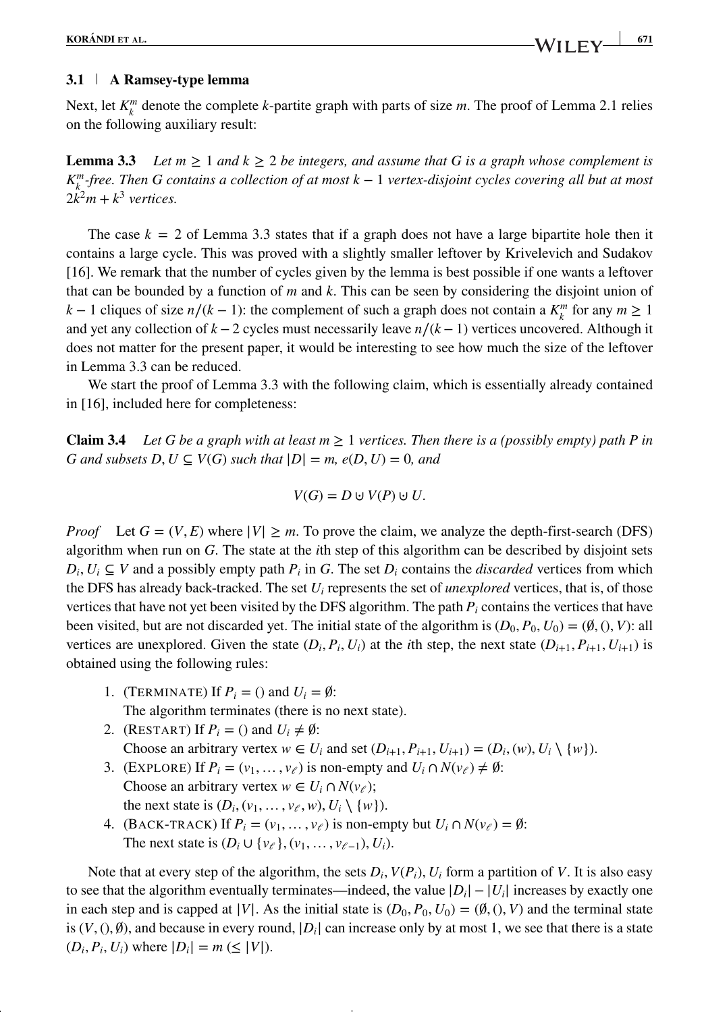## **3.1 A Ramsey-type lemma**

Next, let  $K_k^m$  denote the complete *k*-partite graph with parts of size *m*. The proof of Lemma 2.1 relies on the following auxiliary result:

**Lemma 3.3** *Let*  $m \ge 1$  *and*  $k \ge 2$  *be integers, and assume that* G *is a graph whose complement is K<sup>m</sup> <sup>k</sup> -free. Then G contains a collection of at most k* − 1 *vertex-disjoint cycles covering all but at most*  $2k^2m + k^3$  *vertices.* 

The case  $k = 2$  of Lemma 3.3 states that if a graph does not have a large bipartite hole then it contains a large cycle. This was proved with a slightly smaller leftover by Krivelevich and Sudakov [16]. We remark that the number of cycles given by the lemma is best possible if one wants a leftover that can be bounded by a function of *m* and *k*. This can be seen by considering the disjoint union of *k* − 1 cliques of size *n*/(*k* − 1): the complement of such a graph does not contain a  $K_k^m$  for any  $m \ge 1$ and yet any collection of *k* −2 cycles must necessarily leave *n*∕(*k* −1) vertices uncovered. Although it does not matter for the present paper, it would be interesting to see how much the size of the leftover in Lemma 3.3 can be reduced.

We start the proof of Lemma 3.3 with the following claim, which is essentially already contained in [16], included here for completeness:

**Claim 3.4** *Let G be a graph with at least*  $m > 1$  *vertices. Then there is a (possibly empty) path P in G* and subsets  $D, U \subseteq V(G)$  such that  $|D| = m$ ,  $e(D, U) = 0$ , and

$$
V(G) = D \cup V(P) \cup U.
$$

*Proof* Let  $G = (V, E)$  where  $|V| \ge m$ . To prove the claim, we analyze the depth-first-search (DFS) algorithm when run on *G*. The state at the *i*th step of this algorithm can be described by disjoint sets  $D_i, U_i \subseteq V$  and a possibly empty path  $P_i$  in *G*. The set  $D_i$  contains the *discarded* vertices from which the DFS has already back-tracked. The set *Ui* represents the set of *unexplored* vertices, that is, of those vertices that have not yet been visited by the DFS algorithm. The path  $P_i$  contains the vertices that have been visited, but are not discarded yet. The initial state of the algorithm is  $(D_0, P_0, U_0) = (\emptyset, (), V)$ : all vertices are unexplored. Given the state  $(D_i, P_i, U_i)$  at the *i*th step, the next state  $(D_{i+1}, P_{i+1}, U_{i+1})$  is obtained using the following rules:

- 1. (TERMINATE) If  $P_i = ()$  and  $U_i = \emptyset$ : The algorithm terminates (there is no next state).
- 2. (RESTART) If  $P_i = ()$  and  $U_i \neq \emptyset$ : Choose an arbitrary vertex  $w \in U_i$  and set  $(D_{i+1}, P_{i+1}, U_{i+1}) = (D_i, (w), U_i \setminus \{w\})$ .
- 3. (EXPLORE) If  $P_i = (v_1, \ldots, v_\ell)$  is non-empty and  $U_i \cap N(v_\ell) \neq \emptyset$ : Choose an arbitrary vertex  $w \in U_i \cap N(v_{\ell});$ the next state is  $(D_i, (v_1, \ldots, v_\ell, w), U_i \setminus \{w\})$ .
- 4. (BACK-TRACK) If  $P_i = (v_1, \ldots, v_{\ell})$  is non-empty but  $U_i \cap N(v_{\ell}) = \emptyset$ : The next state is  $(D_i \cup \{v_{\ell}\}, (v_1, \ldots, v_{\ell-1}), U_i)$ .

Note that at every step of the algorithm, the sets  $D_i$ ,  $V(P_i)$ ,  $U_i$  form a partition of V. It is also easy to see that the algorithm eventually terminates—indeed, the value <sup>|</sup>*Di*|−|*Ui*<sup>|</sup> increases by exactly one in each step and is capped at  $|V|$ . As the initial state is  $(D_0, P_0, U_0) = (\emptyset, (), V)$  and the terminal state is  $(V,(),\emptyset)$ , and because in every round,  $|D_i|$  can increase only by at most 1, we see that there is a state  $(D_i, P_i, U_i)$  where  $|D_i| = m \le |V|$ .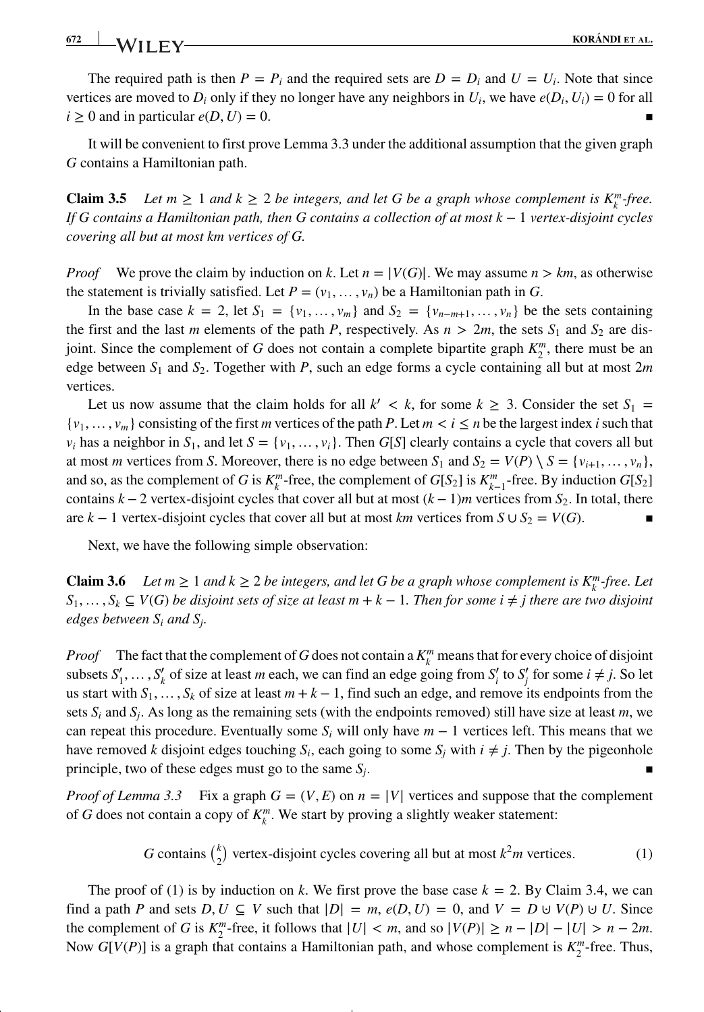## **672 KORÁNDI ET AL.**<br>**KORÁNDI ET AL.**

The required path is then  $P = P_i$  and the required sets are  $D = D_i$  and  $U = U_i$ . Note that since vertices are moved to  $D_i$  only if they no longer have any neighbors in  $U_i$ , we have  $e(D_i, U_i) = 0$  for all  $i \geq 0$  and in particular  $e(D, U) = 0$ .

It will be convenient to first prove Lemma 3.3 under the additional assumption that the given graph *G* contains a Hamiltonian path.

**Claim 3.5** *Let*  $m \geq 1$  *and*  $k \geq 2$  *be integers, and let G be a graph whose complement is*  $K_k^m$ *-free. If G contains a Hamiltonian path, then G contains a collection of at most k* − 1 *vertex-disjoint cycles covering all but at most km vertices of G.*

*Proof* We prove the claim by induction on *k*. Let  $n = |V(G)|$ . We may assume  $n > km$ , as otherwise the statement is trivially satisfied. Let  $P = (v_1, \ldots, v_n)$  be a Hamiltonian path in *G*.

In the base case  $k = 2$ , let  $S_1 = \{v_1, \ldots, v_m\}$  and  $S_2 = \{v_{n-m+1}, \ldots, v_n\}$  be the sets containing the first and the last *m* elements of the path *P*, respectively. As  $n > 2m$ , the sets  $S_1$  and  $S_2$  are disjoint. Since the complement of *G* does not contain a complete bipartite graph  $K_2^m$ , there must be an edge between *S*<sup>1</sup> and *S*2. Together with *P*, such an edge forms a cycle containing all but at most 2*m* vertices.

Let us now assume that the claim holds for all  $k' < k$ , for some  $k \geq 3$ . Consider the set  $S_1 =$  $\{v_1, \ldots, v_m\}$  consisting of the first *m* vertices of the path *P*. Let  $m < i \leq n$  be the largest index *i* such that *v<sub>i</sub>* has a neighbor in  $S_1$ , and let  $S = \{v_1, \ldots, v_i\}$ . Then  $G[S]$  clearly contains a cycle that covers all but at most *m* vertices from *S*. Moreover, there is no edge between  $S_1$  and  $S_2 = V(P) \setminus S = \{v_{i+1}, \ldots, v_n\}$ and so, as the complement of *G* is  $K_k^m$ -free, the complement of  $G[S_2]$  is  $K_{k-1}^m$ -free. By induction  $G[S_2]$ contains  $k - 2$  vertex-disjoint cycles that cover all but at most  $(k - 1)m$  vertices from  $S_2$ . In total, there are  $k - 1$  vertex-disjoint cycles that cover all but at most  $km$  vertices from  $S \cup S_2 = V(G)$ .

Next, we have the following simple observation:

**Claim 3.6** *Let*  $m \ge 1$  *and*  $k \ge 2$  *be integers, and let G be a graph whose complement is*  $K_k^m$ *-free. Let S*<sub>1</sub>, …, *S*<sub>*k*</sub> ⊆ *V*(*G*) *be disjoint sets of size at least m* + *k* − 1*. Then for some i*  $\neq j$  *there are two disjoint edges between Si and Sj.*

*Proof* The fact that the complement of *G* does not contain a  $K_k^m$  means that for every choice of disjoint subsets  $S'_1, \ldots, S'_k$  of size at least *m* each, we can find an edge going from  $S'_i$  to  $S'_j$  for some  $i \neq j$ . So let us start with  $S_1, \ldots, S_k$  of size at least  $m + k - 1$ , find such an edge, and remove its endpoints from the sets  $S_i$  and  $S_j$ . As long as the remaining sets (with the endpoints removed) still have size at least *m*, we can repeat this procedure. Eventually some *Si* will only have *m* − 1 vertices left. This means that we have removed *k* disjoint edges touching  $S_i$ , each going to some  $S_i$  with  $i \neq j$ . Then by the pigeonhole principle, two of these edges must go to the same  $S_i$ .

*Proof of Lemma 3.3* Fix a graph  $G = (V, E)$  on  $n = |V|$  vertices and suppose that the complement of *G* does not contain a copy of  $K_k^m$ . We start by proving a slightly weaker statement:

*G* contains  $\binom{k}{2}$  vertex-disjoint cycles covering all but at most  $k^2m$  vertices. (1)

The proof of (1) is by induction on *k*. We first prove the base case  $k = 2$ . By Claim 3.4, we can find a path *P* and sets  $D, U \subseteq V$  such that  $|D| = m$ ,  $e(D, U) = 0$ , and  $V = D \cup V(P) \cup U$ . Since the complement of *G* is  $K_2^m$ -free, it follows that  $|U| < m$ , and so  $|V(P)| \ge n - |D| - |U| > n - 2m$ . Now  $G[V(P)]$  is a graph that contains a Hamiltonian path, and whose complement is  $K_2^m$ -free. Thus,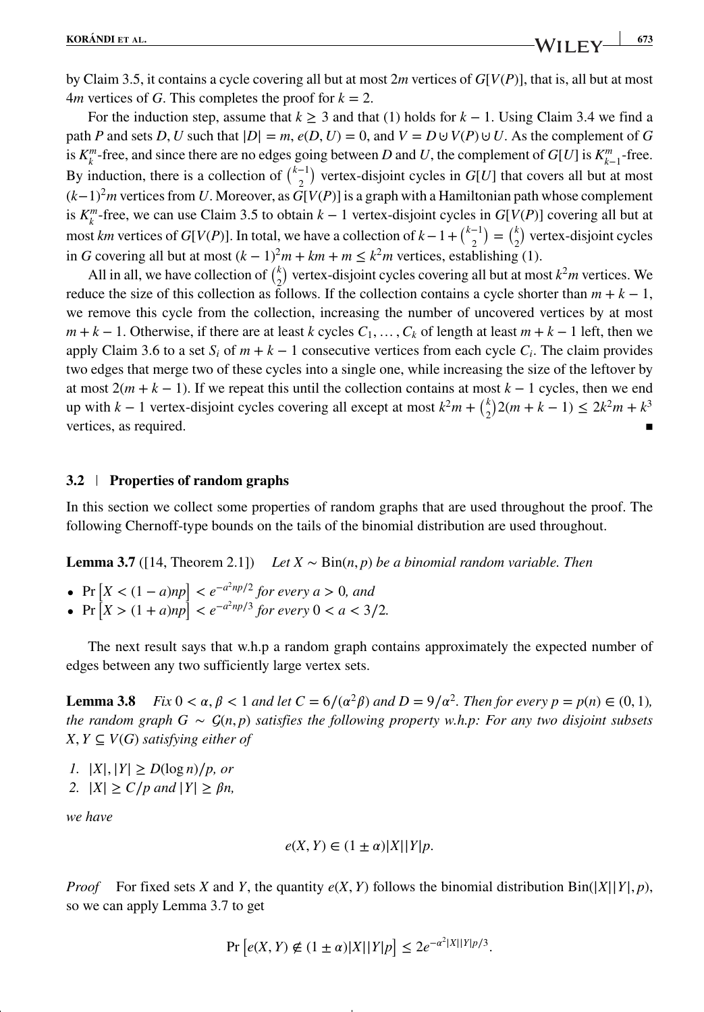by Claim 3.5, it contains a cycle covering all but at most 2*m* vertices of *G*[*V*(*P*)], that is, all but at most  $4m$  vertices of *G*. This completes the proof for  $k = 2$ .

For the induction step, assume that  $k \ge 3$  and that (1) holds for  $k - 1$ . Using Claim 3.4 we find a path *P* and sets *D*, *U* such that  $|D| = m$ ,  $e(D, U) = 0$ , and  $V = D \cup V(P) \cup U$ . As the complement of *G* is  $K_k^m$ -free, and since there are no edges going between *D* and *U*, the complement of *G*[*U*] is  $K_{k-1}^m$ -free. By induction, there is a collection of  $\binom{k-1}{2}$  vertex-disjoint cycles in *G*[*U*] that covers all but at most (*k*−1) <sup>2</sup>*m* vertices from *U*. Moreover, as *G*[*V*(*P*)] is a graph with a Hamiltonian path whose complement is  $K_k^m$ -free, we can use Claim 3.5 to obtain  $k-1$  vertex-disjoint cycles in  $G[V(P)]$  covering all but at most *km* vertices of *G*[*V*(*P*)]. In total, we have a collection of  $k - 1 + {k-1 \choose 2} = {k \choose 2}$  vertex-disjoint cycles in *G* covering all but at most  $(k − 1)<sup>2</sup>m + km + m ≤ k<sup>2</sup>m$  vertices, establishing (1).

All in all, we have collection of  $\binom{k}{2}$  vertex-disjoint cycles covering all but at most  $k^2m$  vertices. We reduce the size of this collection as follows. If the collection contains a cycle shorter than  $m + k - 1$ , we remove this cycle from the collection, increasing the number of uncovered vertices by at most  $m + k - 1$ . Otherwise, if there are at least *k* cycles  $C_1, \ldots, C_k$  of length at least  $m + k - 1$  left, then we apply Claim 3.6 to a set  $S_i$  of  $m + k - 1$  consecutive vertices from each cycle  $C_i$ . The claim provides two edges that merge two of these cycles into a single one, while increasing the size of the leftover by at most  $2(m + k - 1)$ . If we repeat this until the collection contains at most  $k - 1$  cycles, then we end up with *k* − 1 vertex-disjoint cycles covering all except at most  $k^2m + {k \choose 2}2(m+k-1) \le 2k^2m + k^3$ vertices, as required.  $\blacksquare$ 

## **3.2 Properties of random graphs**

In this section we collect some properties of random graphs that are used throughout the proof. The following Chernoff-type bounds on the tails of the binomial distribution are used throughout.

**Lemma 3.7** ([14, Theorem 2.1]) *Let X* ∼ Bin(*n, p*) *be a binomial random variable. Then*

- *•* Pr  $[X < (1 a)np]$  <  $e^{-a^2np/2}$  for every *a* > 0*, and*
- Pr  $[X > (1 + a)np] < e^{-a^2np/3}$  *for every*  $0 < a < 3/2$ *.*

The next result says that w.h.p a random graph contains approximately the expected number of edges between any two sufficiently large vertex sets.

**Lemma 3.8** *Fix*  $0 < \alpha, \beta < 1$  *and let*  $C = 6/(\alpha^2 \beta)$  *and*  $D = 9/\alpha^2$ *. Then for every p* = *p*(*n*)  $\in (0, 1)$ *, the random graph G* ∼  $\mathcal{G}(n, p)$  *satisfies the following property w.h.p: For any two disjoint subsets*  $X, Y ⊆ V(G)$  *satisfying either of* 

*1.* |*X*|, |*Y*| ≥ *D*(log *n*)/*p*, *or* 

*2.*  $|X| \ge C/p$  and  $|Y| \ge \beta n$ ,

*we have*

$$
e(X, Y) \in (1 \pm \alpha)|X||Y|p.
$$

*Proof* For fixed sets *X* and *Y*, the quantity  $e(X, Y)$  follows the binomial distribution Bin( $|X||Y|, p$ ), so we can apply Lemma 3.7 to get

$$
\Pr\left[e(X,Y) \notin (1 \pm \alpha)|X||Y|p\right] \le 2e^{-\alpha^2|X||Y|p/3}.
$$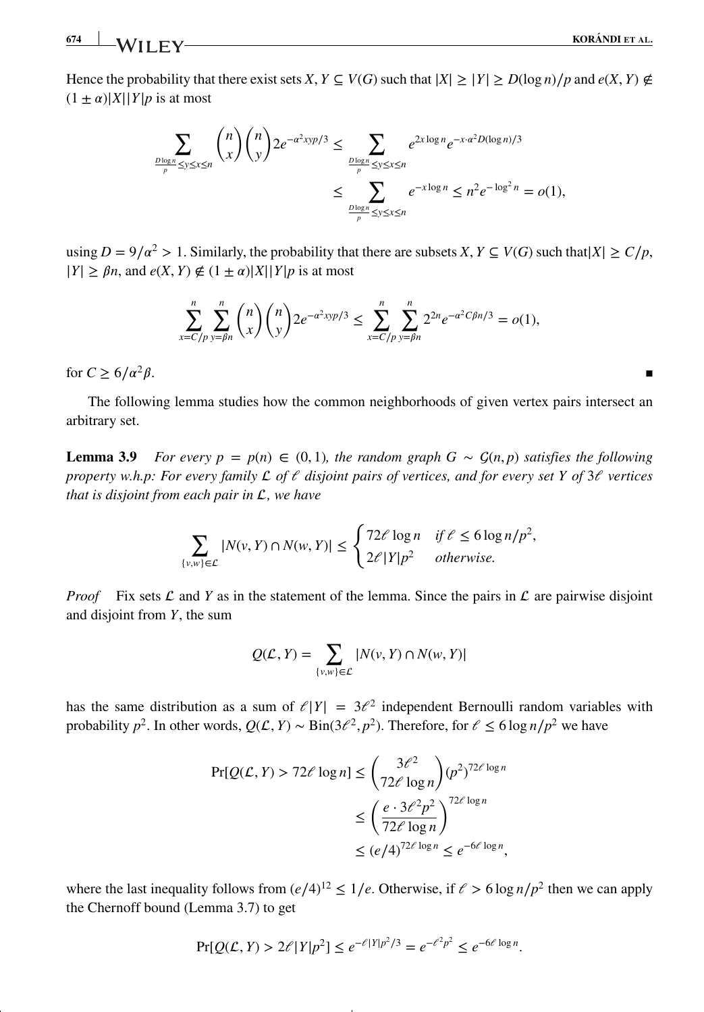Hence the probability that there exist sets *X*,  $Y \subseteq V(G)$  such that  $|X| \geq |Y| \geq D(\log n)/p$  and  $e(X, Y) \notin$  $(1 \pm \alpha)|X||Y|p$  is at most

$$
\sum_{\frac{D\log n}{p} \le y \le x \le n} \binom{n}{x} \binom{n}{y} 2e^{-\alpha^2 x y p/3} \le \sum_{\frac{D\log n}{p} \le y \le x \le n} e^{2x \log n} e^{-x \cdot \alpha^2 D(\log n)/3} \le \sum_{\frac{D\log n}{p} \le y \le x \le n} e^{-x \log n} \le n^2 e^{-\log^2 n} = o(1),
$$

using  $D = 9/\alpha^2 > 1$ . Similarly, the probability that there are subsets *X*,  $Y \subseteq V(G)$  such that  $|X| \ge C/p$ ,  $|Y| \geq \beta n$ , and  $e(X, Y) \notin (1 \pm \alpha)|X||Y|p$  is at most

$$
\sum_{x=C/p}^{n} \sum_{y=\beta n}^{n} {n \choose x} {n \choose y} 2e^{-\alpha^2 \cdot xyp/3} \le \sum_{x=C/p}^{n} \sum_{y=\beta n}^{n} 2^{2n} e^{-\alpha^2 C \beta n/3} = o(1),
$$

for  $C > 6/a^2\beta$ .

The following lemma studies how the common neighborhoods of given vertex pairs intersect an arbitrary set.

**Lemma 3.9** *For every p* =  $p(n) \in (0, 1)$ *, the random graph G* ~  $\mathcal{G}(n, p)$  *satisfies the following property w.h.p: For every family*  $\mathcal{L}$  of  $\ell$  disjoint pairs of vertices, and for every set Y of 3 $\ell$  vertices *that is disjoint from each pair in*  $L$ *, we have* 

$$
\sum_{\{v,w\}\in\mathcal{L}}|N(v,Y)\cap N(w,Y)| \leq \begin{cases} 72\ell\log n & \text{if } \ell \leq 6\log n/p^2, \\ 2\ell|Y|p^2 & otherwise. \end{cases}
$$

*Proof* Fix sets  $\mathcal L$  and  $Y$  as in the statement of the lemma. Since the pairs in  $\mathcal L$  are pairwise disjoint and disjoint from *Y*, the sum

$$
Q(\mathcal{L}, Y) = \sum_{\{v, w\} \in \mathcal{L}} |N(v, Y) \cap N(w, Y)|
$$

has the same distribution as a sum of  $\ell|Y| = 3\ell^2$  independent Bernoulli random variables with probability  $p^2$ . In other words,  $Q(\mathcal{L}, Y) \sim Bin(3\ell^2, p^2)$ . Therefore, for  $\ell \le 6 \log n/p^2$  we have

$$
\Pr[Q(\mathcal{L}, Y) > 72\ell \log n] \le \binom{3\ell^2}{72\ell \log n} (p^2)^{72\ell \log n}
$$
\n
$$
\le \left(\frac{e \cdot 3\ell^2 p^2}{72\ell \log n}\right)^{72\ell \log n}
$$
\n
$$
\le (e/4)^{72\ell \log n} \le e^{-6\ell \log n},
$$

where the last inequality follows from  $(e/4)^{12} \le 1/e$ . Otherwise, if  $e > 6 \log n/p^2$  then we can apply the Chernoff bound (Lemma 3.7) to get

$$
\Pr[Q(\mathcal{L}, Y) > 2\ell |Y|p^2] \le e^{-\ell |Y|p^2/3} = e^{-\ell^2 p^2} \le e^{-6\ell \log n}.
$$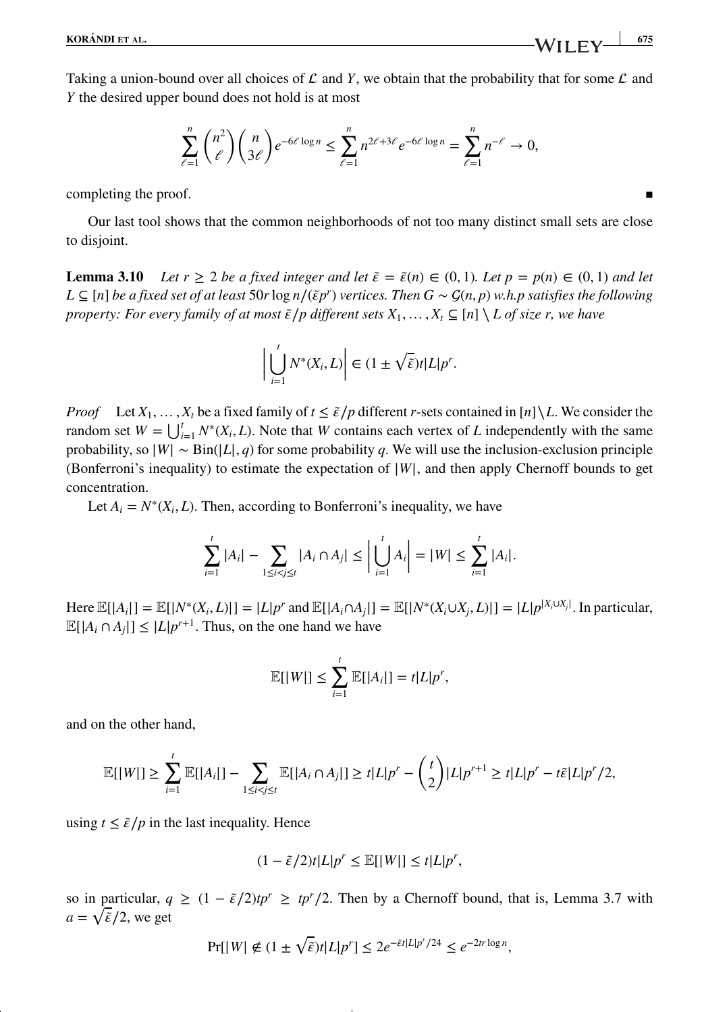Taking a union-bound over all choices of  $\mathcal L$  and  $Y$ , we obtain that the probability that for some  $\mathcal L$  and *Y* the desired upper bound does not hold is at most

$$
\sum_{\ell=1}^n \binom{n^2}{\ell} \binom{n}{3\ell} e^{-6\ell \log n} \le \sum_{\ell=1}^n n^{2\ell+3\ell} e^{-6\ell \log n} = \sum_{\ell=1}^n n^{-\ell} \to 0,
$$

completing the proof.

Our last tool shows that the common neighborhoods of not too many distinct small sets are close to disjoint.

**Lemma 3.10** *Let*  $r \ge 2$  *be a fixed integer and let*  $\tilde{\epsilon} = \tilde{\epsilon}(n) \in (0, 1)$ *. Let*  $p = p(n) \in (0, 1)$  *and let L* ⊆ [n] *be a fixed set of at least* 50*r* log *n*/( $\tilde{\epsilon}p^r$ ) *vertices. Then*  $G \sim \mathcal{G}(n, p)$  *w.h.p satisfies the following property: For every family of at most*  $\tilde{\epsilon}/p$  different sets  $X_1, \ldots, X_t \subseteq [n] \setminus L$  of size r, we have

$$
\left|\bigcup_{i=1}^t N^*(X_i, L)\right| \in (1 \pm \sqrt{\tilde{\varepsilon}})t|L|p^r.
$$

*Proof* Let  $X_1, \ldots, X_t$  be a fixed family of  $t \leq \tilde{\epsilon}/p$  different *r*-sets contained in [*n*] \L. We consider the random set  $W = \bigcup_{i=1}^{t} N^*(X_i, L)$ . Note that *W* contains each vertex of *L* independently with the same probability, so  $|W| \sim Bin(|L|, q)$  for some probability *q*. We will use the inclusion-exclusion principle (Bonferroni's inequality) to estimate the expectation of <sup>|</sup>*W*|, and then apply Chernoff bounds to get concentration.

Let  $A_i = N^*(X_i, L)$ . Then, according to Bonferroni's inequality, we have

$$
\sum_{i=1}^t |A_i| - \sum_{1 \le i < j \le t} |A_i \cap A_j| \le \left| \bigcup_{i=1}^t A_i \right| = |W| \le \sum_{i=1}^t |A_i|.
$$

Here  $\mathbb{E}[|A_i|] = \mathbb{E}[|N^*(X_i, L)|] = |L|p^r$  and  $\mathbb{E}[|A_i \cap A_j|] = \mathbb{E}[|N^*(X_i \cup X_j, L)|] = |L|p^{|X_i \cup X_j|}$ . In particular,  $\mathbb{E}[|A_i \cap A_j|] \leq |L|p^{r+1}$ . Thus, on the one hand we have

$$
\mathbb{E}[|W|] \leq \sum_{i=1}^t \mathbb{E}[|A_i|] = t|L|p^r,
$$

and on the other hand,

$$
\mathbb{E}[|W|] \geq \sum_{i=1}^t \mathbb{E}[|A_i|] - \sum_{1 \leq i < j \leq t} \mathbb{E}[|A_i \cap A_j|] \geq t|L|p^r - \binom{t}{2}|L|p^{r+1} \geq t|L|p^r - t\tilde{\epsilon}|L|p^r/2,
$$

using  $t \leq \tilde{\varepsilon}/p$  in the last inequality. Hence

$$
(1 - \tilde{\varepsilon}/2)t|L|p^r \le \mathbb{E}[|W|] \le t|L|p^r,
$$

so in particular,  $q \geq (1 - \tilde{\epsilon}/2)tp^r \geq tp^r/2$ . Then by a Chernoff bound, that is, Lemma 3.7 with  $a = \sqrt{\tilde{\epsilon}}/2$ , we get

$$
\Pr[|W| \notin (1 \pm \sqrt{\tilde{\epsilon}})t|L|p^r] \le 2e^{-\tilde{\epsilon}t|L|p^r/24} \le e^{-2tr\log n},
$$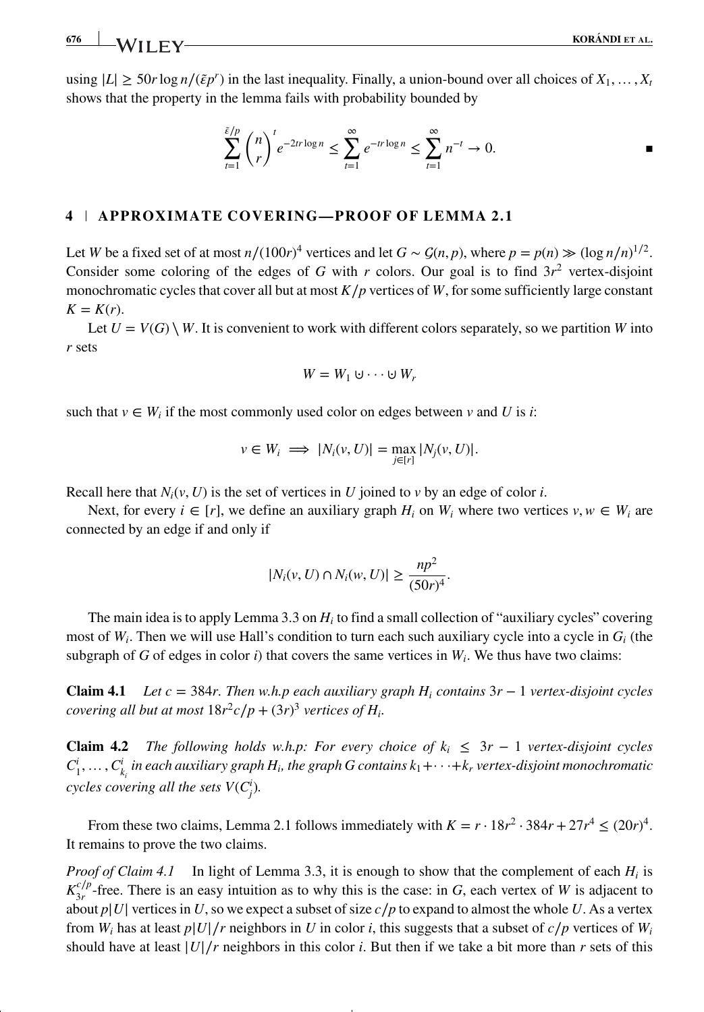using  $|L| \ge 50r \log n/(\tilde{\epsilon}p^r)$  in the last inequality. Finally, a union-bound over all choices of  $X_1, \ldots, X_t$ shows that the property in the lemma fails with probability bounded by

$$
\sum_{t=1}^{\tilde{\varepsilon}/p} \binom{n}{r}^t e^{-2tr \log n} \le \sum_{t=1}^{\infty} e^{-tr \log n} \le \sum_{t=1}^{\infty} n^{-t} \to 0.
$$

### **4 APPROXIMATE COVERING—PROOF OF LEMMA 2.1**

Let *W* be a fixed set of at most  $n/(100r)^4$  vertices and let  $G \sim \mathcal{G}(n, p)$ , where  $p = p(n) \gg (\log n/n)^{1/2}$ . Consider some coloring of the edges of *G* with *r* colors. Our goal is to find  $3r^2$  vertex-disjoint monochromatic cycles that cover all but at most  $K/p$  vertices of *W*, for some sufficiently large constant  $K = K(r)$ .

Let  $U = V(G) \setminus W$ . It is convenient to work with different colors separately, so we partition *W* into *r* sets

$$
W=W_1\cup\cdots\cup W_r
$$

such that  $v \in W_i$  if the most commonly used color on edges between *v* and *U* is *i*:

$$
v \in W_i \implies |N_i(v, U)| = \max_{j \in [r]} |N_j(v, U)|.
$$

Recall here that  $N_i(v, U)$  is the set of vertices in *U* joined to *v* by an edge of color *i*.

Next, for every  $i \in [r]$ , we define an auxiliary graph  $H_i$  on  $W_i$  where two vertices  $v, w \in W_i$  are connected by an edge if and only if

$$
|N_i(v, U) \cap N_i(w, U)| \ge \frac{np^2}{(50r)^4}.
$$

The main idea is to apply Lemma 3.3 on *Hi* to find a small collection of "auxiliary cycles" covering most of *Wi*. Then we will use Hall's condition to turn each such auxiliary cycle into a cycle in *Gi* (the subgraph of *G* of edges in color *i*) that covers the same vertices in  $W_i$ . We thus have two claims:

**Claim 4.1** *Let c* = 384*r. Then w.h.p each auxiliary graph Hi contains* 3*r* − 1 *vertex-disjoint cycles covering all but at most*  $18r^2c/p + (3r)^3$  *vertices of H<sub>i</sub>*.

**Claim 4.2** *The following holds w.h.p: For every choice of*  $k_i \leq 3r - 1$  *vertex-disjoint cycles*  $C^i_1,\ldots,C^i_{k_i}$  in each auxiliary graph  $H_i$ , the graph  $G$  contains  $k_1+\cdots+k_r$  vertex-disjoint monochromatic *cycles covering all the sets*  $V(C_j^i)$ .

From these two claims, Lemma 2.1 follows immediately with  $K = r \cdot 18r^2 \cdot 384r + 27r^4 \le (20r)^4$ . It remains to prove the two claims.

*Proof of Claim 4.1* In light of Lemma 3.3, it is enough to show that the complement of each *Hi* is  $K_{3r}^{c/p}$ -free. There is an easy intuition as to why this is the case: in *G*, each vertex of *W* is adjacent to about  $p|U|$  vertices in *U*, so we expect a subset of size  $c/p$  to expand to almost the whole *U*. As a vertex from *W<sub>i</sub>* has at least  $p|U|/r$  neighbors in *U* in color *i*, this suggests that a subset of  $c/p$  vertices of *W<sub>i</sub>* should have at least  $|U|/r$  neighbors in this color *i*. But then if we take a bit more than *r* sets of this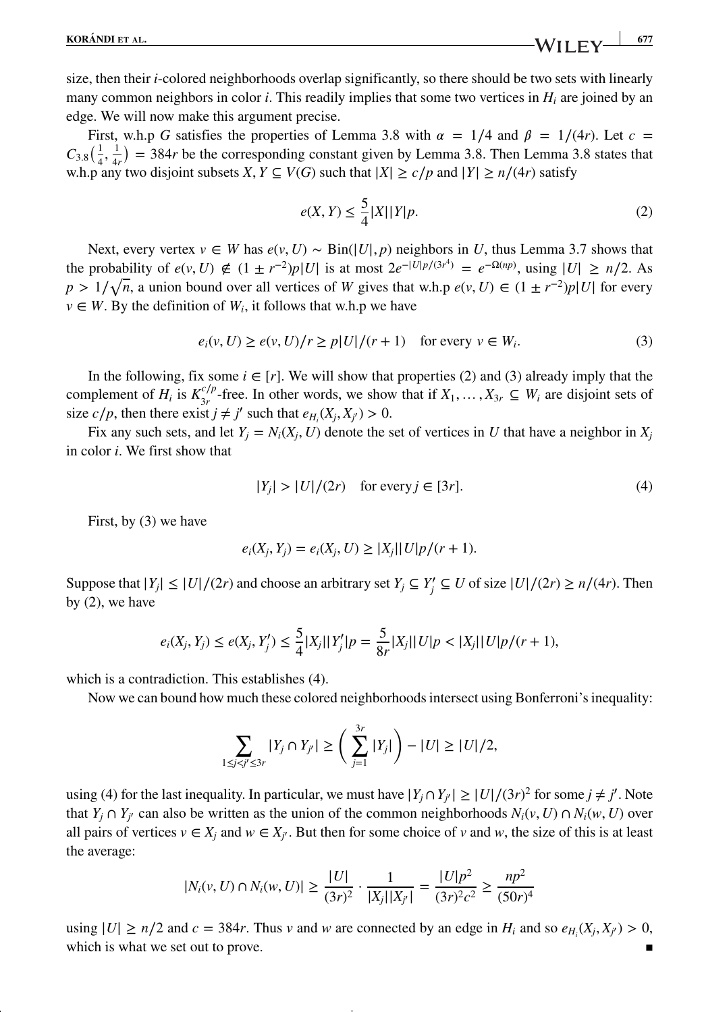**KORÁNDI** ET AL. 677

size, then their *i*-colored neighborhoods overlap significantly, so there should be two sets with linearly many common neighbors in color *i*. This readily implies that some two vertices in *Hi* are joined by an edge. We will now make this argument precise.

First, w.h.p *G* satisfies the properties of Lemma 3.8 with  $\alpha = 1/4$  and  $\beta = 1/(4r)$ . Let  $c =$  $C_{3.8}(\frac{1}{4}, \frac{1}{4r}) = 384r$  be the corresponding constant given by Lemma 3.8. Then Lemma 3.8 states that w.h.p any two disjoint subsets *X*,  $Y \subseteq V(G)$  such that  $|X| \ge c/p$  and  $|Y| \ge n/(4r)$  satisfy

$$
e(X,Y) \le \frac{5}{4}|X||Y|p. \tag{2}
$$

Next, every vertex *v* ∈ *W* has  $e(v, U)$  ∼ Bin( $|U|, p$ ) neighbors in *U*, thus Lemma 3.7 shows that the probability of  $e(v, U) \notin (1 \pm r^{-2})p|U|$  is at most  $2e^{-|U|p/(3r^4)} = e^{-\Omega(np)}$ , using  $|U| \ge n/2$ . As  $p > 1/\sqrt{n}$ , a union bound over all vertices of *W* gives that w.h.p  $e(v, U) \in (1 \pm r^{-2})p|U|$  for every  $v \in W$ . By the definition of  $W_i$ , it follows that w.h.p we have

$$
e_i(v, U) \ge e(v, U)/r \ge p|U|/(r+1) \quad \text{for every } v \in W_i.
$$
 (3)

In the following, fix some  $i \in [r]$ . We will show that properties (2) and (3) already imply that the complement of  $H_i$  is  $K_{3r}^{c/p}$ -free. In other words, we show that if  $X_1, \ldots, X_{3r} \subseteq W_i$  are disjoint sets of size *c*/*p*, then there exist  $j \neq j'$  such that  $e_{H_i}(X_j, X_{j'}) > 0$ .

Fix any such sets, and let  $Y_i = N_i(X_i, U)$  denote the set of vertices in *U* that have a neighbor in  $X_i$ in color *i*. We first show that

$$
|Y_j| > |U|/(2r) \quad \text{for every } j \in [3r]. \tag{4}
$$

First, by (3) we have

$$
e_i(X_j, Y_j) = e_i(X_j, U) \ge |X_j||U|p/(r+1).
$$

Suppose that  $|Y_j| \le |U|/(2r)$  and choose an arbitrary set  $Y_j \subseteq Y_j' \subseteq U$  of size  $|U|/(2r) \ge n/(4r)$ . Then by (2), we have

$$
e_i(X_j, Y_j) \le e(X_j, Y_j') \le \frac{5}{4}|X_j||Y_j'|p = \frac{5}{8r}|X_j||U|p < |X_j||U|p/(r+1),
$$

which is a contradiction. This establishes (4).

Now we can bound how much these colored neighborhoods intersect using Bonferroni's inequality:

$$
\sum_{1 \leq j < j' \leq 3r} |Y_j \cap Y_{j'}| \geq \left( \sum_{j=1}^{3r} |Y_j| \right) - |U| \geq |U|/2,
$$

using (4) for the last inequality. In particular, we must have  $|Y_j \cap Y_{j'}| \ge |U|/(3r)^2$  for some  $j \ne j'$ . Note that *Y<sub>i</sub>*  $\cap$  *Y<sub>i</sub>*<sup></sup> can also be written as the union of the common neighborhoods  $N_i(v, U) \cap N_i(w, U)$  over all pairs of vertices  $v \in X_i$  and  $w \in X_{i'}$ . But then for some choice of *v* and *w*, the size of this is at least the average:

$$
|N_i(v, U) \cap N_i(w, U)| \ge \frac{|U|}{(3r)^2} \cdot \frac{1}{|X_j||X_{j'}|} = \frac{|U|p^2}{(3r)^2c^2} \ge \frac{np^2}{(50r)^4}
$$

using  $|U| \ge n/2$  and  $c = 384r$ . Thus *v* and *w* are connected by an edge in  $H_i$  and so  $e_{H_i}(X_j, X_{j'}) > 0$ , which is what we set out to prove.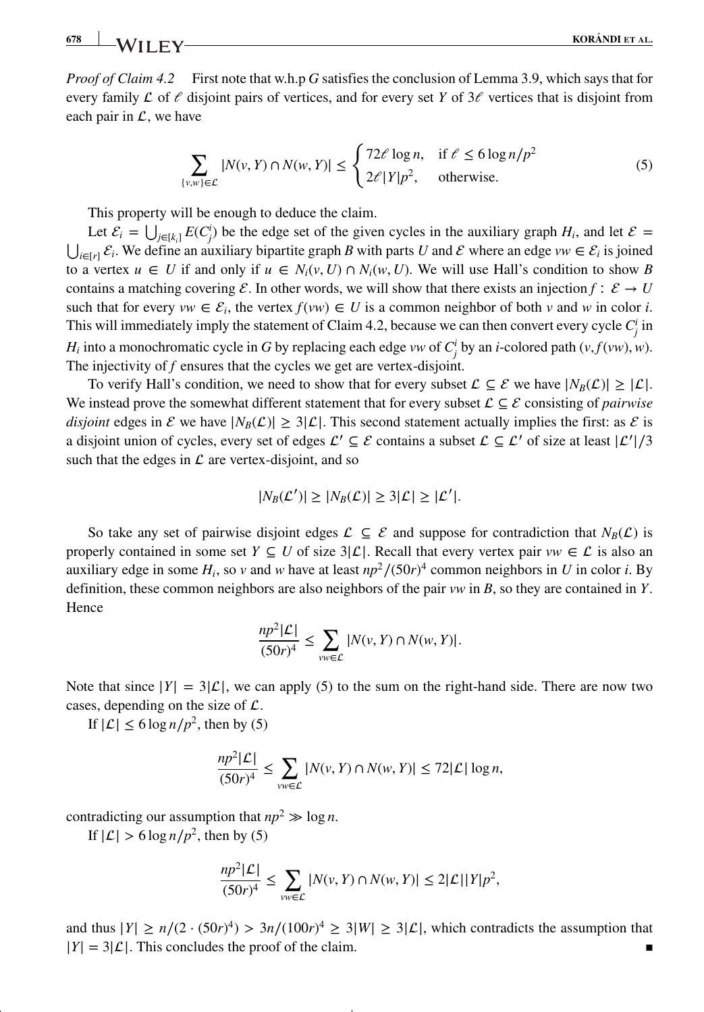*Proof of Claim 4.2* First note that w.h.p *G* satisfies the conclusion of Lemma 3.9, which says that for every family  $\mathcal L$  of  $\ell$  disjoint pairs of vertices, and for every set *Y* of  $3\ell$  vertices that is disjoint from each pair in  $\mathcal{L}$ , we have

$$
\sum_{\{v,w\}\in\mathcal{L}} |N(v,Y)\cap N(w,Y)| \le \begin{cases} 72\ell \log n, & \text{if } \ell \le 6\log n/p^2\\ 2\ell|Y|p^2, & \text{otherwise.} \end{cases}
$$
(5)

This property will be enough to deduce the claim.

Let  $\mathcal{E}_i = \bigcup_{j \in [k_i]} E(C_j^i)$  be the edge set of the given cycles in the auxiliary graph  $H_i$ , and let  $\mathcal{E} =$  $\bigcup_{i\in[r]} \mathcal{E}_i$ . We define an auxiliary bipartite graph *B* with parts *U* and *E* where an edge *vw*  $\in \mathcal{E}_i$  is joined to a vertex  $u \in U$  if and only if  $u \in N_i(v, U) \cap N_i(w, U)$ . We will use Hall's condition to show *B* contains a matching covering  $\mathcal{E}$ . In other words, we will show that there exists an injection *f* ∶  $\mathcal{E} \to U$ such that for every  $vw \in \mathcal{E}_i$ , the vertex  $f(vw) \in U$  is a common neighbor of both  $v$  and  $w$  in color  $i$ . This will immediately imply the statement of Claim 4.2, because we can then convert every cycle  $C^i_j$  in *H<sub>i</sub>* into a monochromatic cycle in *G* by replacing each edge *vw* of  $C_j^i$  by an *i*-colored path (*v,f*(*vw*)*,w*). The injectivity of *f* ensures that the cycles we get are vertex-disjoint.

To verify Hall's condition, we need to show that for every subset  $\mathcal{L} \subseteq \mathcal{E}$  we have  $|N_B(\mathcal{L})| \geq |\mathcal{L}|$ . We instead prove the somewhat different statement that for every subset  $\mathcal{L} \subseteq \mathcal{E}$  consisting of *pairwise disjoint* edges in  $\mathcal E$  we have  $|N_B(\mathcal L)| \geq 3|\mathcal L|$ . This second statement actually implies the first: as  $\mathcal E$  is a disjoint union of cycles, every set of edges  $\mathcal{L}' \subseteq \mathcal{E}$  contains a subset  $\mathcal{L} \subseteq \mathcal{L}'$  of size at least  $|\mathcal{L}'|/3$ such that the edges in  $\mathcal L$  are vertex-disjoint, and so

$$
|N_B(\mathcal{L}')| \ge |N_B(\mathcal{L})| \ge 3|\mathcal{L}| \ge |\mathcal{L}'|.
$$

So take any set of pairwise disjoint edges  $\mathcal{L} \subseteq \mathcal{E}$  and suppose for contradiction that  $N_B(\mathcal{L})$  is properly contained in some set *Y*  $\subseteq U$  of size  $3|\mathcal{L}|$ . Recall that every vertex pair *vw*  $\in \mathcal{L}$  is also an auxiliary edge in some  $H_i$ , so *v* and *w* have at least  $np^2/(50r)^4$  common neighbors in *U* in color *i*. By definition, these common neighbors are also neighbors of the pair *vw* in *B*, so they are contained in *Y*. Hence

$$
\frac{np^2|\mathcal{L}|}{(50r)^4} \le \sum_{vw \in \mathcal{L}} |N(v, Y) \cap N(w, Y)|.
$$

Note that since  $|Y| = 3|\mathcal{L}|$ , we can apply (5) to the sum on the right-hand side. There are now two cases, depending on the size of  $\mathcal{L}$ .

If  $|\mathcal{L}|$  < 6 log *n*/*p*<sup>2</sup>, then by (5)

$$
\frac{np^2|\mathcal{L}|}{(50r)^4} \le \sum_{vw \in \mathcal{L}} |N(v, Y) \cap N(w, Y)| \le 72|\mathcal{L}| \log n,
$$

contradicting our assumption that  $np^2 \gg \log n$ .

If  $|\mathcal{L}| > 6 \log n/p^2$ , then by (5)

$$
\frac{np^2|\mathcal{L}|}{(50r)^4} \le \sum_{vw \in \mathcal{L}} |N(v, Y) \cap N(w, Y)| \le 2|\mathcal{L}| |Y|p^2,
$$

and thus  $|Y| \ge n/(2 \cdot (50r)^4) > 3n/(100r)^4 \ge 3|W| \ge 3|\mathcal{L}|$ , which contradicts the assumption that  $|Y| = 3|\mathcal{L}|$ . This concludes the proof of the claim.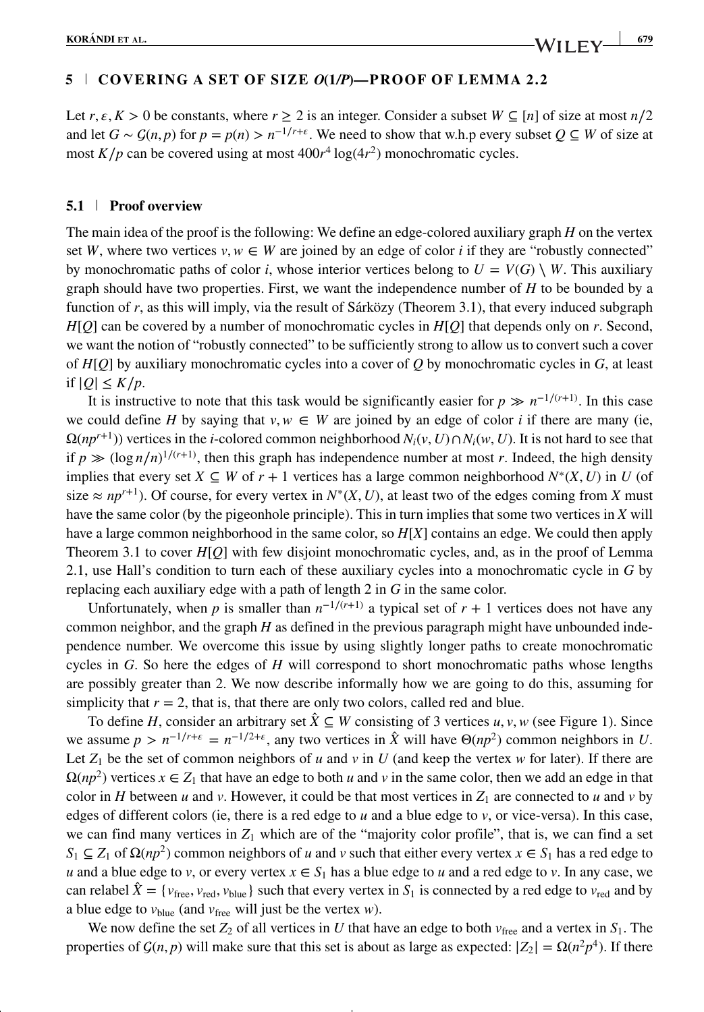## **5 COVERING A SET OF SIZE** *O***(1***/P***)—PROOF OF LEMMA 2. 2**

Let  $r, \varepsilon, K > 0$  be constants, where  $r \ge 2$  is an integer. Consider a subset  $W \subseteq [n]$  of size at most  $n/2$ and let  $G \sim \mathcal{G}(n, p)$  for  $p = p(n) > n^{-1/r + \epsilon}$ . We need to show that w.h.p every subset  $Q \subseteq W$  of size at most  $K/p$  can be covered using at most  $400r^4 \log(4r^2)$  monochromatic cycles.

#### **5.1 Proof overview**

The main idea of the proof is the following: We define an edge-colored auxiliary graph *H* on the vertex set *W*, where two vertices  $v, w \in W$  are joined by an edge of color *i* if they are "robustly connected" by monochromatic paths of color *i*, whose interior vertices belong to  $U = V(G) \setminus W$ . This auxiliary graph should have two properties. First, we want the independence number of *H* to be bounded by a function of *r*, as this will imply, via the result of Sárközy (Theorem 3.1), that every induced subgraph *H*[*Q*] can be covered by a number of monochromatic cycles in *H*[*Q*] that depends only on *r*. Second, we want the notion of "robustly connected" to be sufficiently strong to allow us to convert such a cover of *H*[*Q*] by auxiliary monochromatic cycles into a cover of *Q* by monochromatic cycles in *G*, at least if  $|Q| \leq K/p$ .

It is instructive to note that this task would be significantly easier for  $p \gg n^{-1/(r+1)}$ . In this case we could define *H* by saying that  $v, w \in W$  are joined by an edge of color *i* if there are many (ie,  $\Omega(np^{r+1})$ ) vertices in the *i*-colored common neighborhood  $N_i(v, U) \cap N_i(w, U)$ . It is not hard to see that if  $p \gg (\log n/n)^{1/(r+1)}$ , then this graph has independence number at most *r*. Indeed, the high density implies that every set  $X \subseteq W$  of  $r + 1$  vertices has a large common neighborhood  $N^*(X, U)$  in U (of size  $\approx np^{r+1}$ ). Of course, for every vertex in  $N^*(X, U)$ , at least two of the edges coming from *X* must have the same color (by the pigeonhole principle). This in turn implies that some two vertices in *X* will have a large common neighborhood in the same color, so *H*[*X*] contains an edge. We could then apply Theorem 3.1 to cover *H*[*Q*] with few disjoint monochromatic cycles, and, as in the proof of Lemma 2.1, use Hall's condition to turn each of these auxiliary cycles into a monochromatic cycle in *G* by replacing each auxiliary edge with a path of length 2 in *G* in the same color.

Unfortunately, when *p* is smaller than  $n^{-1/(r+1)}$  a typical set of  $r + 1$  vertices does not have any common neighbor, and the graph *H* as defined in the previous paragraph might have unbounded independence number. We overcome this issue by using slightly longer paths to create monochromatic cycles in *G*. So here the edges of *H* will correspond to short monochromatic paths whose lengths are possibly greater than 2. We now describe informally how we are going to do this, assuming for simplicity that  $r = 2$ , that is, that there are only two colors, called red and blue.

To define *H*, consider an arbitrary set  $\hat{X}$  ⊆ *W* consisting of 3 vertices *u*, *v*, *w* (see Figure 1). Since we assume  $p > n^{-1/r + \epsilon} = n^{-1/2 + \epsilon}$ , any two vertices in  $\hat{X}$  will have  $\Theta(np^2)$  common neighbors in *U*. Let  $Z_1$  be the set of common neighbors of *u* and *v* in *U* (and keep the vertex *w* for later). If there are  $\Omega(np^2)$  vertices  $x \in Z_1$  that have an edge to both *u* and *v* in the same color, then we add an edge in that color in *H* between *u* and *v*. However, it could be that most vertices in  $Z_1$  are connected to *u* and *v* by edges of different colors (ie, there is a red edge to *u* and a blue edge to *v*, or vice-versa). In this case, we can find many vertices in  $Z_1$  which are of the "majority color profile", that is, we can find a set  $S_1 \subseteq Z_1$  of  $\Omega(np^2)$  common neighbors of *u* and *v* such that either every vertex  $x \in S_1$  has a red edge to *u* and a blue edge to *v*, or every vertex  $x \in S_1$  has a blue edge to *u* and a red edge to *v*. In any case, we can relabel  $\hat{X} = \{v_{\text{free}}, v_{\text{red}}, v_{\text{blue}}\}$  such that every vertex in  $S_1$  is connected by a red edge to  $v_{\text{red}}$  and by a blue edge to *v*blue (and *v*free will just be the vertex *w*).

We now define the set  $Z_2$  of all vertices in *U* that have an edge to both  $v_{\text{free}}$  and a vertex in  $S_1$ . The properties of  $G(n, p)$  will make sure that this set is about as large as expected:  $|Z_2| = \Omega(n^2 p^4)$ . If there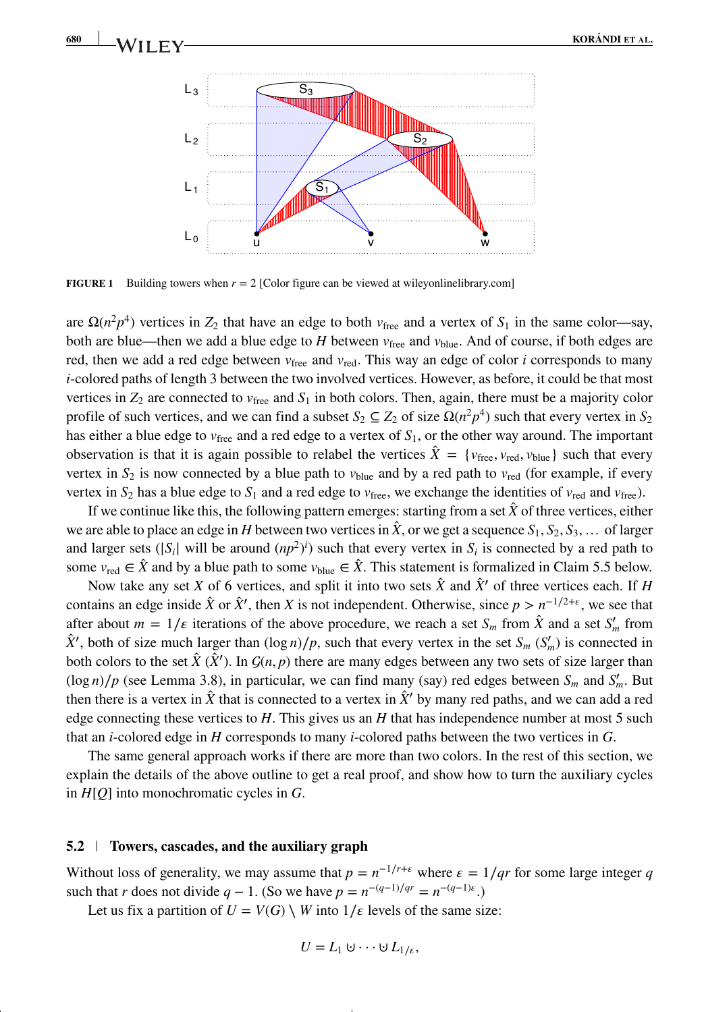

**FIGURE 1** Building towers when  $r = 2$  [Color figure can be viewed at [wileyonlinelibrary.com\]](http://wileyonlinelibrary.com)

are  $\Omega(n^2p^4)$  vertices in  $Z_2$  that have an edge to both  $v_{\text{free}}$  and a vertex of  $S_1$  in the same color—say, both are blue—then we add a blue edge to *H* between  $v_{\text{free}}$  and  $v_{\text{blue}}$ . And of course, if both edges are red, then we add a red edge between  $v_{\text{free}}$  and  $v_{\text{red}}$ . This way an edge of color *i* corresponds to many *i*-colored paths of length 3 between the two involved vertices. However, as before, it could be that most vertices in  $Z_2$  are connected to  $v_{\text{free}}$  and  $S_1$  in both colors. Then, again, there must be a majority color profile of such vertices, and we can find a subset  $S_2 \subseteq Z_2$  of size  $\Omega(n^2p^4)$  such that every vertex in  $S_2$ has either a blue edge to *v*free and a red edge to a vertex of *S*1, or the other way around. The important observation is that it is again possible to relabel the vertices  $\hat{X} = \{v_{\text{free}}, v_{\text{red}}, v_{\text{blue}}\}$  such that every vertex in  $S_2$  is now connected by a blue path to  $v_{blue}$  and by a red path to  $v_{red}$  (for example, if every vertex in  $S_2$  has a blue edge to  $S_1$  and a red edge to  $v_{\text{free}}$ , we exchange the identities of  $v_{\text{red}}$  and  $v_{\text{free}}$ ).

If we continue like this, the following pattern emerges: starting from a set  $\hat{X}$  of three vertices, either we are able to place an edge in *H* between two vertices in  $\hat{X}$ , or we get a sequence  $S_1, S_2, S_3, \ldots$  of larger and larger sets  $(|S_i|$  will be around  $(np^2)^i$ ) such that every vertex in  $S_i$  is connected by a red path to some  $v_{\text{red}} \in \hat{X}$  and by a blue path to some  $v_{\text{blue}} \in \hat{X}$ . This statement is formalized in Claim 5.5 below.

Now take any set *X* of 6 vertices, and split it into two sets  $\hat{X}$  and  $\hat{X}'$  of three vertices each. If *H* contains an edge inside  $\hat{X}$  or  $\hat{X}'$ , then *X* is not independent. Otherwise, since  $p > n^{-1/2+\epsilon}$ , we see that after about  $m = 1/\varepsilon$  iterations of the above procedure, we reach a set  $S_m$  from  $\hat{X}$  and a set  $S'_m$  from  $\hat{X}$ <sup>*'*</sup>, both of size much larger than  $(\log n)/p$ , such that every vertex in the set *S<sub>m</sub>* (*S'<sub>m</sub>*) is connected in both colors to the set  $\hat{X}$  ( $\hat{X}'$ ). In  $\mathcal{G}(n, p)$  there are many edges between any two sets of size larger than  $(\log n)/p$  (see Lemma 3.8), in particular, we can find many (say) red edges between  $S_m$  and  $S'_m$ . But then there is a vertex in  $\hat{X}$  that is connected to a vertex in  $\hat{X}$ <sup>*'*</sup> by many red paths, and we can add a red edge connecting these vertices to *H*. This gives us an *H* that has independence number at most 5 such that an *i*-colored edge in *H* corresponds to many *i*-colored paths between the two vertices in *G*.

The same general approach works if there are more than two colors. In the rest of this section, we explain the details of the above outline to get a real proof, and show how to turn the auxiliary cycles in *H*[*Q*] into monochromatic cycles in *G*.

### **5.2 Towers, cascades, and the auxiliary graph**

Without loss of generality, we may assume that  $p = n^{-1/r + \epsilon}$  where  $\epsilon = 1/qr$  for some large integer *q* such that *r* does not divide  $q - 1$ . (So we have  $p = n^{-(q-1)/qr} = n^{-(q-1)\epsilon}$ .)

Let us fix a partition of  $U = V(G) \setminus W$  into  $1/\varepsilon$  levels of the same size:

$$
U=L_1\cup\cdots\cup L_{1/\varepsilon},
$$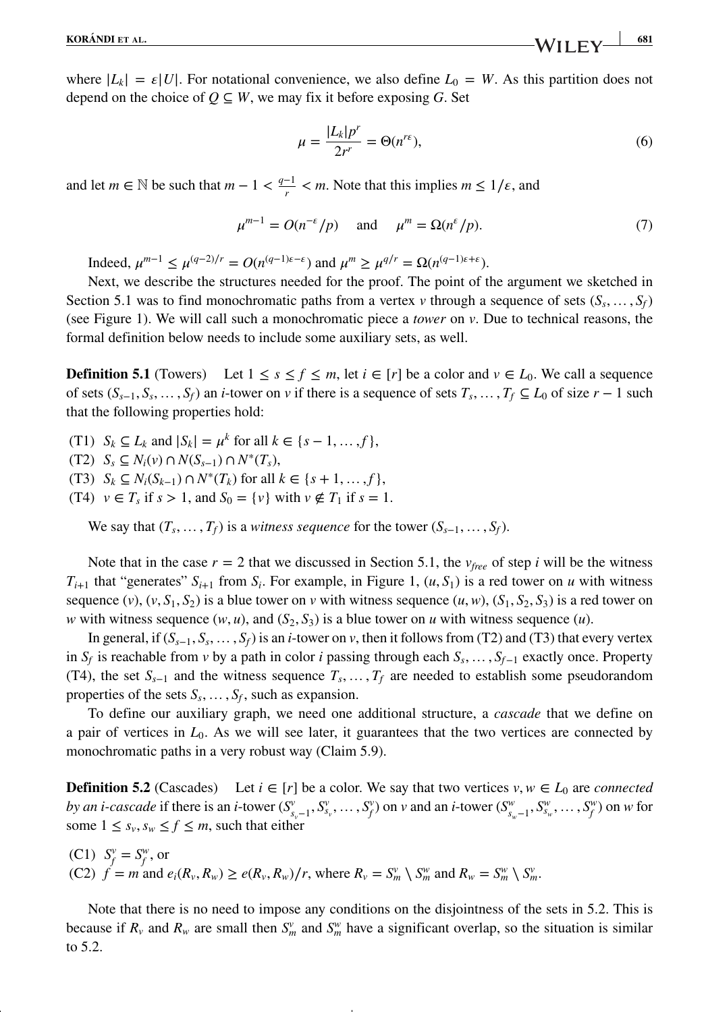where  $|L_k| = \varepsilon |U|$ . For notational convenience, we also define  $L_0 = W$ . As this partition does not depend on the choice of  $Q \subseteq W$ , we may fix it before exposing *G*. Set

$$
\mu = \frac{|L_k|p^r}{2r^r} = \Theta(n^{r\epsilon}),\tag{6}
$$

and let  $m \in \mathbb{N}$  be such that  $m - 1 < \frac{q-1}{r} < m$ . Note that this implies  $m \leq 1/\varepsilon$ , and

$$
\mu^{m-1} = O(n^{-\varepsilon}/p) \quad \text{and} \quad \mu^m = \Omega(n^{\varepsilon}/p). \tag{7}
$$

Indeed,  $\mu^{m-1} \le \mu^{(q-2)/r} = O(n^{(q-1)\varepsilon-\varepsilon})$  and  $\mu^m \ge \mu^{q/r} = \Omega(n^{(q-1)\varepsilon+\varepsilon})$ .

Next, we describe the structures needed for the proof. The point of the argument we sketched in Section 5.1 was to find monochromatic paths from a vertex *v* through a sequence of sets  $(S_s, \ldots, S_f)$ (see Figure 1). We will call such a monochromatic piece a *tower* on *v*. Due to technical reasons, the formal definition below needs to include some auxiliary sets, as well.

**Definition 5.1** (Towers) Let  $1 \leq s \leq f \leq m$ , let  $i \in [r]$  be a color and  $v \in L_0$ . We call a sequence of sets  $(S_{s-1}, S_s, \ldots, S_f)$  an *i*-tower on *v* if there is a sequence of sets  $T_s, \ldots, T_f \subseteq L_0$  of size  $r-1$  such that the following properties hold:

- (T1)  $S_k \subset L_k$  and  $|S_k| = u^k$  for all  $k \in \{s 1, ..., f\}$ ,
- (T2) *Ss ⊆ Ni*(*v*) ∩ *N*(*Ss*−1) ∩ *N*∗(*Ts*),
- (T3)  $S_k$  ⊆  $N_i(S_{k-1})$  ∩  $N^*(T_k)$  for all  $k \in \{s+1, ..., f\},$
- (T4)  $v \in T_s$  if  $s > 1$ , and  $S_0 = \{v\}$  with  $v \notin T_1$  if  $s = 1$ .

We say that  $(T_s, \ldots, T_f)$  is a *witness sequence* for the tower  $(S_{s-1}, \ldots, S_f)$ .

Note that in the case  $r = 2$  that we discussed in Section 5.1, the  $v_{free}$  of step *i* will be the witness  $T_{i+1}$  that "generates"  $S_{i+1}$  from  $S_i$ . For example, in Figure 1,  $(u, S_1)$  is a red tower on *u* with witness sequence (*v*),  $(v, S_1, S_2)$  is a blue tower on *v* with witness sequence  $(u, w)$ ,  $(S_1, S_2, S_3)$  is a red tower on *w* with witness sequence  $(w, u)$ , and  $(S_2, S_3)$  is a blue tower on *u* with witness sequence  $(u)$ .

In general, if  $(S_{s-1}, S_s, \ldots, S_f)$  is an *i*-tower on *v*, then it follows from (T2) and (T3) that every vertex in  $S_f$  is reachable from *v* by a path in color *i* passing through each  $S_s$ , …,  $S_{f-1}$  exactly once. Property (T4), the set  $S_{s-1}$  and the witness sequence  $T_s$ , …,  $T_f$  are needed to establish some pseudorandom properties of the sets  $S_s$ ,  $\dots$ ,  $S_f$ , such as expansion.

To define our auxiliary graph, we need one additional structure, a *cascade* that we define on a pair of vertices in *L*0. As we will see later, it guarantees that the two vertices are connected by monochromatic paths in a very robust way (Claim 5.9).

**Definition 5.2** (Cascades) Let  $i \in [r]$  be a color. We say that two vertices  $v, w \in L_0$  are *connected* by an *i*-cascade if there is an *i*-tower  $(S_{s_v-1}^v, S_{s_v}^v, \dots, S_f^v)$  on *v* and an *i*-tower  $(S_{s_w-1}^w, S_{s_w}^v, \dots, S_f^w)$  on *w* for some  $1 \leq s_{v}, s_{w} \leq f \leq m$ , such that either

(C1)  $S_f^v = S_f^w$ , or (C2)  $f = m$  and  $e_i(R_v, R_w) \ge e(R_v, R_w)/r$ , where  $R_v = S_m^v \setminus S_m^w$  and  $R_w = S_m^w \setminus S_m^v$ .

Note that there is no need to impose any conditions on the disjointness of the sets in 5.2. This is because if  $R_v$  and  $R_w$  are small then  $S_m^v$  and  $S_m^w$  have a significant overlap, so the situation is similar to 5.2.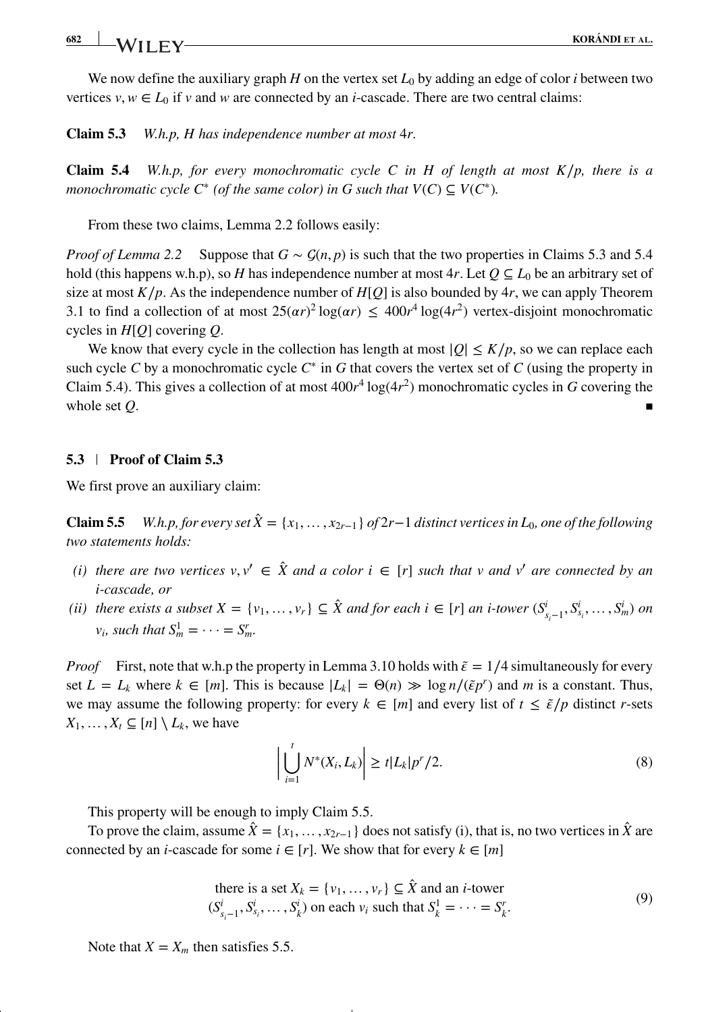## **682 KORÁNDI ET AL.**<br>**KORÁNDI ET AL.**

We now define the auxiliary graph *H* on the vertex set *L*<sup>0</sup> by adding an edge of color *i* between two vertices  $v, w \in L_0$  if *v* and *w* are connected by an *i*-cascade. There are two central claims:

**Claim 5.3** *W.h.p, H has independence number at most* 4*r.*

**Claim 5.4** *W.h.p, for every monochromatic cycle C in H of length at most K*∕*p, there is a monochromatic cycle*  $C^*$  *(of the same color) in G such that*  $V(C) \subseteq V(C^*)$ *.* 

From these two claims, Lemma 2.2 follows easily:

*Proof of Lemma 2.2* Suppose that  $G \sim \mathcal{G}(n, p)$  is such that the two properties in Claims 5.3 and 5.4 hold (this happens w.h.p), so *H* has independence number at most 4*r*. Let  $Q \subseteq L_0$  be an arbitrary set of size at most  $K/p$ . As the independence number of  $H[Q]$  is also bounded by  $4r$ , we can apply Theorem 3.1 to find a collection of at most  $25(\alpha r)^2 \log(\alpha r) \leq 400r^4 \log(4r^2)$  vertex-disjoint monochromatic cycles in *H*[*Q*] covering *Q*.

We know that every cycle in the collection has length at most  $|Q| \leq K/p$ , so we can replace each such cycle *C* by a monochromatic cycle *C*<sup>∗</sup> in *G* that covers the vertex set of *C* (using the property in Claim 5.4). This gives a collection of at most  $400r^4 \log(4r^2)$  monochromatic cycles in *G* covering the whole set  $Q$ .

### **5.3 Proof of Claim 5.3**

We first prove an auxiliary claim:

**Claim 5.5** *W.h.p, for every set*  $\hat{X} = \{x_1, \ldots, x_{2r-1}\}$  *of*  $2r-1$  *distinct vertices in*  $L_0$ *, one of the following two statements holds:*

- *(i) there are two vertices*  $v, v' \in \hat{X}$  *and a color i*  $\in [r]$  *such that v and v' are connected by an i-cascade, or*
- (ii) there exists a subset  $X = \{v_1, \ldots, v_r\} \subseteq \hat{X}$  and for each  $i \in [r]$  an *i*-tower  $(S_{s_i-1}^i, S_{s_i}^i, \ldots, S_m^i)$  on  $v_i$ *, such that*  $S_m^1 = \cdots = S_m^r$ .

*Proof* First, note that w.h.p the property in Lemma 3.10 holds with  $\tilde{\epsilon} = 1/4$  simultaneously for every set  $L = L_k$  where  $k \in [m]$ . This is because  $|L_k| = \Theta(n) \gg \log n/(\tilde{\epsilon} p^r)$  and *m* is a constant. Thus, we may assume the following property: for every  $k \in [m]$  and every list of  $t \leq \tilde{\epsilon}/p$  distinct *r*-sets  $X_1, \ldots, X_t \subseteq [n] \setminus L_k$ , we have

$$
\left| \bigcup_{i=1}^{t} N^*(X_i, L_k) \right| \geq t |L_k| p^r / 2. \tag{8}
$$

This property will be enough to imply Claim 5.5.

To prove the claim, assume  $\hat{X} = \{x_1, \ldots, x_{2r-1}\}$  does not satisfy (i), that is, no two vertices in  $\hat{X}$  are connected by an *i*-cascade for some  $i \in [r]$ . We show that for every  $k \in [m]$ 

there is a set 
$$
X_k = \{v_1, \dots, v_r\} \subseteq \hat{X}
$$
 and an *i*-tower  
 $(S_{s_i-1}^i, S_{s_i}^i, \dots, S_k^i)$  on each  $v_i$  such that  $S_k^1 = \dots = S_k^r$ . (9)

Note that  $X = X_m$  then satisfies 5.5.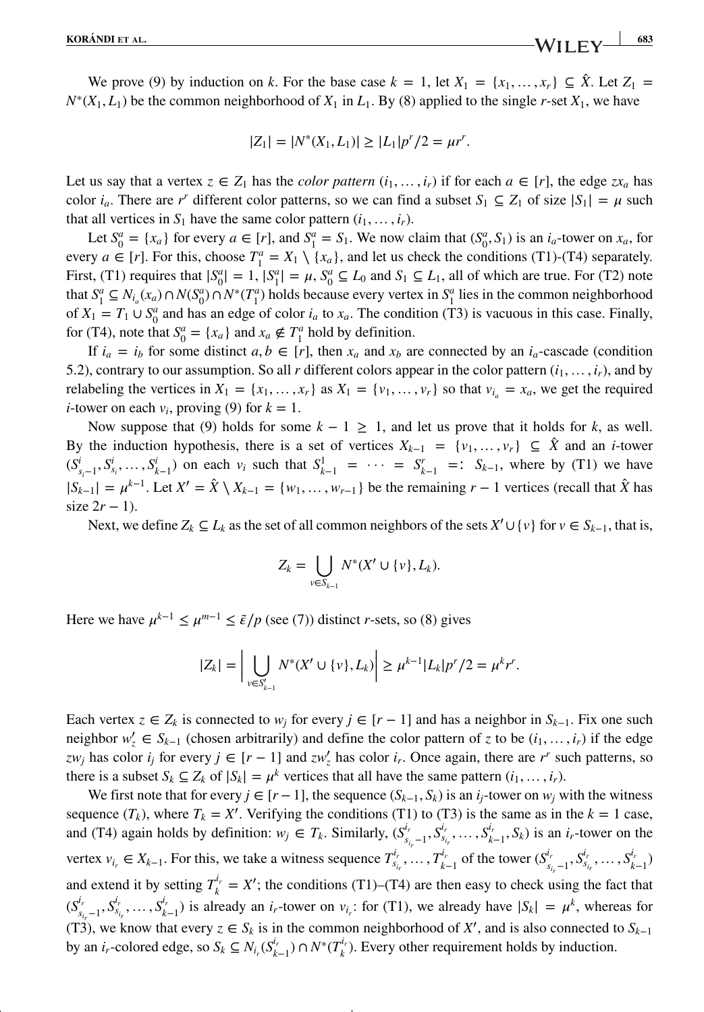We prove (9) by induction on *k*. For the base case  $k = 1$ , let  $X_1 = \{x_1, \ldots, x_r\} \subseteq \hat{X}$ . Let  $Z_1 =$  $N^*(X_1, L_1)$  be the common neighborhood of  $X_1$  in  $L_1$ . By (8) applied to the single *r*-set  $X_1$ , we have

$$
|Z_1| = |N^*(X_1, L_1)| \ge |L_1| p^r / 2 = \mu r^r.
$$

Let us say that a vertex  $z \in Z_1$  has the *color pattern*  $(i_1, \ldots, i_r)$  if for each  $a \in [r]$ , the edge  $zx_a$  has color  $i_a$ . There are *r<sup>r</sup>* different color patterns, so we can find a subset  $S_1 \subseteq Z_1$  of size  $|S_1| = \mu$  such that all vertices in  $S_1$  have the same color pattern  $(i_1, \ldots, i_r)$ .

Let  $S_0^a = \{x_a\}$  for every  $a \in [r]$ , and  $S_1^a = S_1$ . We now claim that  $(S_0^a, S_1)$  is an  $i_a$ -tower on  $x_a$ , for every  $a \in [r]$ . For this, choose  $T_1^a = X_1 \setminus \{x_a\}$ , and let us check the conditions (T1)-(T4) separately. First, (T1) requires that  $|S_0^a| = 1$ ,  $|S_1^a| = \mu$ ,  $S_0^a \subseteq L_0$  and  $S_1 \subseteq L_1$ , all of which are true. For (T2) note that  $S_1^a \subseteq N_{i_a}(x_a) \cap N(S_0^a) \cap N^*(T_1^a)$  holds because every vertex in  $S_1^a$  lies in the common neighborhood of  $X_1 = T_1 \cup S_0^a$  and has an edge of color  $i_a$  to  $x_a$ . The condition (T3) is vacuous in this case. Finally, for (T4), note that  $S_0^a = \{x_a\}$  and  $x_a \notin T_1^a$  hold by definition.

If  $i_a = i_b$  for some distinct  $a, b \in [r]$ , then  $x_a$  and  $x_b$  are connected by an  $i_a$ -cascade (condition 5.2), contrary to our assumption. So all *r* different colors appear in the color pattern  $(i_1, \ldots, i_r)$ , and by relabeling the vertices in  $X_1 = \{x_1, \ldots, x_r\}$  as  $X_1 = \{v_1, \ldots, v_r\}$  so that  $v_{i} = x_a$ , we get the required *i*-tower on each  $v_i$ , proving (9) for  $k = 1$ .

Now suppose that (9) holds for some  $k - 1 \ge 1$ , and let us prove that it holds for *k*, as well. By the induction hypothesis, there is a set of vertices  $X_{k-1} = \{v_1, \ldots, v_r\} \subseteq \hat{X}$  and an *i*-tower  $(S_{s_i-1}^i, S_{s_i}^i, \ldots, S_{k-1}^i)$  on each  $v_i$  such that  $S_{k-1}^1 = \cdots = S_{k-1}^r =: S_{k-1}$ , where by (T1) we have  $|S_{k-1}| = \mu^{k-1}$ . Let  $X' = \hat{X} \setminus X_{k-1} = \{w_1, \ldots, w_{r-1}\}$  be the remaining  $r - 1$  vertices (recall that  $\hat{X}$  has size  $2r - 1$ ).

Next, we define  $Z_k \subseteq L_k$  as the set of all common neighbors of the sets  $X' \cup \{v\}$  for  $v \in S_{k-1}$ , that is,

$$
Z_k=\bigcup_{v\in S_{k-1}}N^*(X'\cup\{v\},L_k).
$$

Here we have  $\mu^{k-1} \le \mu^{m-1} \le \tilde{\epsilon}/p$  (see (7)) distinct *r*-sets, so (8) gives

$$
|Z_k| = \left| \bigcup_{v \in S'_{k-1}} N^*(X' \cup \{v\}, L_k) \right| \ge \mu^{k-1} |L_k| p^r / 2 = \mu^k r^r.
$$

Each vertex  $z \in Z_k$  is connected to  $w_j$  for every  $j \in [r-1]$  and has a neighbor in  $S_{k-1}$ . Fix one such neighbor  $w'_z \in S_{k-1}$  (chosen arbitrarily) and define the color pattern of *z* to be  $(i_1, \ldots, i_r)$  if the edge *zw<sub>j</sub>* has color *i<sub>j</sub>* for every  $j \in [r-1]$  and  $zw'_z$  has color *i<sub>r</sub>*. Once again, there are *r<sup>r</sup>* such patterns, so there is a subset  $S_k \subseteq Z_k$  of  $|S_k| = \mu^k$  vertices that all have the same pattern  $(i_1, \ldots, i_r)$ .

We first note that for every  $j \in [r-1]$ , the sequence  $(S_{k-1}, S_k)$  is an  $i_j$ -tower on  $w_j$  with the witness sequence  $(T_k)$ , where  $T_k = X'$ . Verifying the conditions (T1) to (T3) is the same as in the  $k = 1$  case, and (T4) again holds by definition:  $w_j \in T_k$ . Similarly,  $(S^{i_r}_{s_{i_r}-1}, S^{i_r}_{s_{i_r}}, \ldots, S^{i_r}_{k-1}, S_k)$  is an  $i_r$ -tower on the vertex  $v_{i_r} \in X_{k-1}$ . For this, we take a witness sequence  $T_{s_{i_r}}^{i_r}, \ldots, T_{k-1}^{i_r}$  of the tower  $(S_{s_{i_r}-1}^{i_r}, S_{s_{i_r}}^{i_r}, \ldots, S_{k-1}^{i_r})$ and extend it by setting  $T_k^{i_r} = X'$ ; the conditions (T1)–(T4) are then easy to check using the fact that  $(S_{s_{i_r}-1}^{i_r}, S_{s_{i_r}}^{i_r}, \ldots, S_{k-1}^{i_r})$  is already an  $i_r$ -tower on  $v_{i_r}$ : for (T1), we already have  $|S_k| = \mu^k$ , whereas for (T3), we know that every  $z \in S_k$  is in the common neighborhood of  $X'$ , and is also connected to  $S_{k-1}$ by an *i<sub>r</sub>*-colored edge, so  $S_k \subseteq N_{i_r}(S_{k-1}^{i_r}) \cap N^*(T_k^{i_r})$ . Every other requirement holds by induction.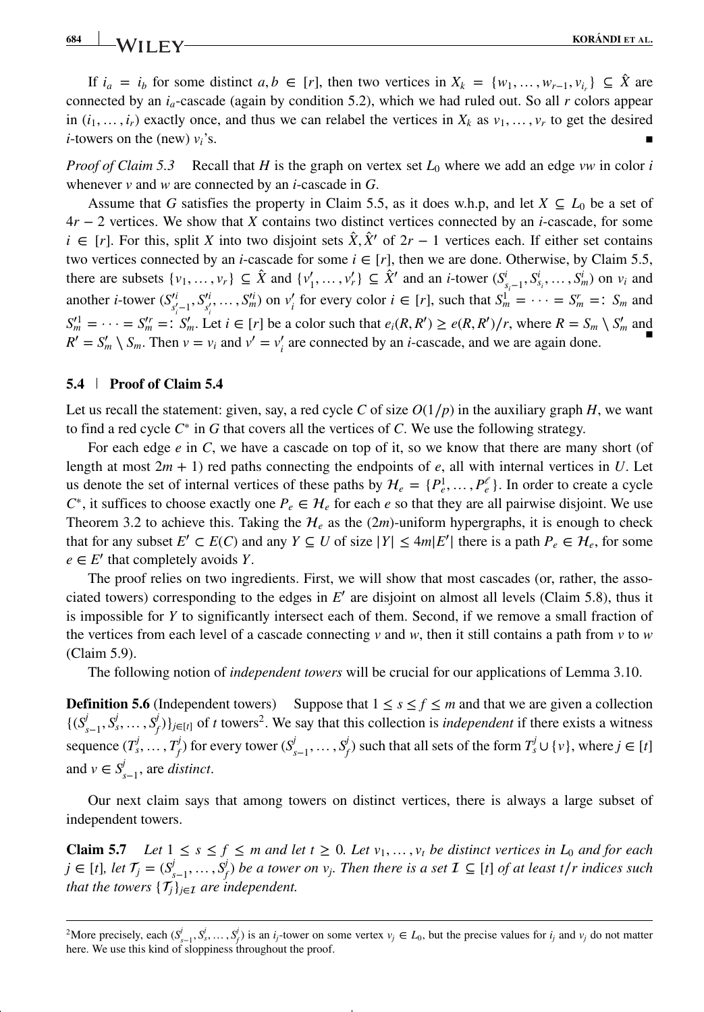## **684 KORÁNDI ET AL.**<br>**KORÁNDI ET AL.**

If  $i_a = i_b$  for some distinct  $a, b \in [r]$ , then two vertices in  $X_k = \{w_1, \ldots, w_{r-1}, v_{i_r}\} \subseteq \hat{X}$  are connected by an  $i_a$ -cascade (again by condition 5.2), which we had ruled out. So all  $r$  colors appear in  $(i_1, \ldots, i_r)$  exactly once, and thus we can relabel the vertices in  $X_k$  as  $v_1, \ldots, v_r$  to get the desired *i*-towers on the (new)  $v_i$ 's.

*Proof of Claim 5.3* Recall that *H* is the graph on vertex set  $L_0$  where we add an edge *vw* in color *i* whenever *v* and *w* are connected by an *i*-cascade in *G*.

Assume that *G* satisfies the property in Claim 5.5, as it does w.h.p, and let  $X \subseteq L_0$  be a set of 4*r* − 2 vertices. We show that *X* contains two distinct vertices connected by an *i*-cascade, for some *i* ∈ [*r*]. For this, split *X* into two disjoint sets  $\hat{X}, \hat{X}'$  of  $2r - 1$  vertices each. If either set contains two vertices connected by an *i*-cascade for some  $i \in [r]$ , then we are done. Otherwise, by Claim 5.5, there are subsets  $\{v_1, \ldots, v_r\} \subseteq \hat{X}$  and  $\{v'_1, \ldots, v'_r\} \subseteq \hat{X}'$  and an *i*-tower  $(S_{s_i-1}^i, S_{s_i}^i, \ldots, S_m^i)$  on  $v_i$  and another *i*-tower  $(S_{s'_i-1}^i, S_{s'_i}^i, \ldots, S_m^i)$  on  $v'_i$  for every color  $i \in [r]$ , such that  $S_m^1 = \cdots = S_m^r =: S_m$  and  $S_m' = \cdots = S_m' =: S_m'$ . Let  $i \in [r]$  be a color such that  $e_i(R, R') \geq e(R, R')/r$ , where  $R = S_m \setminus S_m'$  and  $R' = S'_m \setminus S_m$ . Then  $v = v_i$  and  $v' = v'_i$  are connected by an *i*-cascade, and we are again done.

#### **5.4 Proof of Claim 5.4**

Let us recall the statement: given, say, a red cycle *C* of size  $O(1/p)$  in the auxiliary graph *H*, we want to find a red cycle *C*<sup>∗</sup> in *G* that covers all the vertices of *C*. We use the following strategy.

For each edge *e* in *C*, we have a cascade on top of it, so we know that there are many short (of length at most  $2m + 1$ ) red paths connecting the endpoints of *e*, all with internal vertices in *U*. Let us denote the set of internal vertices of these paths by  $\mathcal{H}_e = \{P_e^1, \dots, P_e^e\}$ . In order to create a cycle  $C^*$ , it suffices to choose exactly one  $P_e \in H_e$  for each *e* so that they are all pairwise disjoint. We use Theorem 3.2 to achieve this. Taking the  $H_e$  as the (2*m*)-uniform hypergraphs, it is enough to check that for any subset  $E' \subset E(C)$  and any  $Y \subseteq U$  of size  $|Y| \le 4m|E'|$  there is a path  $P_e \in \mathcal{H}_e$ , for some  $e \in E'$  that completely avoids *Y*.

The proof relies on two ingredients. First, we will show that most cascades (or, rather, the associated towers) corresponding to the edges in *E*′ are disjoint on almost all levels (Claim 5.8), thus it is impossible for *Y* to significantly intersect each of them. Second, if we remove a small fraction of the vertices from each level of a cascade connecting  $v$  and  $w$ , then it still contains a path from  $v$  to  $w$ (Claim 5.9).

The following notion of *independent towers* will be crucial for our applications of Lemma 3.10.

**Definition 5.6** (Independent towers) Suppose that  $1 \leq s \leq f \leq m$  and that we are given a collection  $\{(S_{s-1}^j, S_s^j, \ldots, S_f^j)\}_{j \in [t]}$  of t towers<sup>2</sup>. We say that this collection is *independent* if there exists a witness sequence  $(T_s^j,\ldots,T_f^j)$  for every tower  $(S_{s-1}^j,\ldots,S_f^j)$  such that all sets of the form  $T_s^j\cup\{v\}$ , where  $j\in[t]$ and  $v \in S_{s-1}^j$ , are *distinct*.

Our next claim says that among towers on distinct vertices, there is always a large subset of independent towers.

**Claim 5.7** *Let*  $1 \leq s \leq f \leq m$  *and let*  $t \geq 0$ *. Let*  $v_1, \ldots, v_t$  *be distinct vertices in*  $L_0$  *and for each*  $j \in [t]$ , let  $\mathcal{T}_j = (S_{s-1}^j, \ldots, S_f^j)$  be a tower on  $v_j$ . Then there is a set  $\mathcal{I} \subseteq [t]$  of at least t/r indices such *that the towers*  $\{\mathcal{T}_i\}_{i \in \mathcal{I}}$  *are independent.* 

<span id="page-17-0"></span><sup>&</sup>lt;sup>2</sup>More precisely, each  $(S_{s-1}^j, S_s^j, \ldots, S_f^j)$  is an *i<sub>j</sub>*-tower on some vertex  $v_j \in L_0$ , but the precise values for *i<sub>j</sub>* and  $v_j$  do not matter here. We use this kind of sloppiness throughout the proof.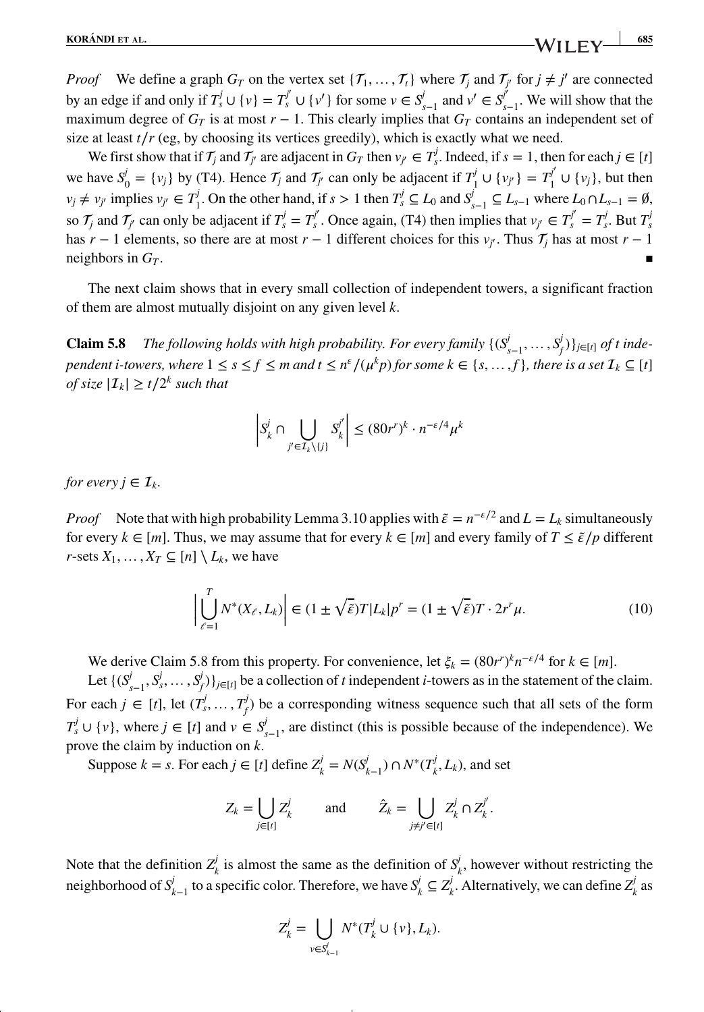*Proof* We define a graph  $G_T$  on the vertex set  $\{T_1, \ldots, T_t\}$  where  $T_j$  and  $T_{j'}$  for  $j \neq j'$  are connected by an edge if and only if  $T_s^j \cup \{v\} = T_s^{j'} \cup \{v'\}$  for some  $v \in S_{s-1}^j$  and  $v' \in S_{s-1}^{j'}$ . We will show that the maximum degree of  $G_T$  is at most  $r - 1$ . This clearly implies that  $G_T$  contains an independent set of size at least  $t/r$  (eg, by choosing its vertices greedily), which is exactly what we need.

We first show that if  $\mathcal{T}_j$  and  $\mathcal{T}_{j'}$  are adjacent in  $G_T$  then  $v_{j'} \in \mathcal{T}'_s$ . Indeed, if  $s = 1$ , then for each  $j \in [t]$ we have  $S_0^j = \{v_j\}$  by (T4). Hence  $\mathcal{T}_j$  and  $\mathcal{T}_{j'}$  can only be adjacent if  $T_1^j \cup \{v_{j'}\} = T_1^{j'} \cup \{v_j\}$ , but then  $v_j \neq v_{j'}$  implies  $v_{j'} \in T_1^j$ . On the other hand, if  $s > 1$  then  $T_s^j \subseteq L_0$  and  $S_{s-1}^j \subseteq L_{s-1}$  where  $L_0 \cap L_{s-1} = \emptyset$ , so  $\mathcal{T}_j$  and  $\mathcal{T}_{j'}$  can only be adjacent if  $T_s^j = T_s^{j'}$ . Once again, (T4) then implies that  $v_{j'} \in T_s^{j'} = T_s^j$ . But  $T_s^j$ has *r* − 1 elements, so there are at most *r* − 1 different choices for this  $v_j$ . Thus  $\mathcal{T}_j$  has at most *r* − 1 neighbors in  $G_T$ .

The next claim shows that in every small collection of independent towers, a significant fraction of them are almost mutually disjoint on any given level *k*.

**Claim 5.8** *The following holds with high probability. For every family*  $\{(S_{s-1}^j, \ldots, S_j^j)\}_{j \in [t]}$  *of t independent i-towers, where*  $1 \le s \le f \le m$  *and*  $t \le n^{\varepsilon}/(\mu^k p)$  *for some*  $k \in \{s, ..., f\}$ *, there is a set*  $\mathcal{I}_k \subseteq [t]$ *of size*  $|\mathcal{I}_k| \ge t/2^k$  *such that* 

$$
\left| S_{k}^{j} \cap \bigcup_{j' \in \mathcal{I}_{k} \setminus \{j\}} S_{k}^{j'} \right| \leq (80r^{r})^{k} \cdot n^{-\varepsilon/4} \mu^{k}
$$

*for every*  $i \in I_k$ *.* 

*Proof* Note that with high probability Lemma 3.10 applies with  $\tilde{\epsilon} = n^{-\epsilon/2}$  and  $L = L_k$  simultaneously for every  $k \in [m]$ . Thus, we may assume that for every  $k \in [m]$  and every family of  $T \leq \tilde{\epsilon}/p$  different *r*-sets  $X_1, \ldots, X_T \subseteq [n] \setminus L_k$ , we have

$$
\left| \bigcup_{\ell=1}^{T} N^*(X_{\ell}, L_k) \right| \in (1 \pm \sqrt{\tilde{\varepsilon}}) T |L_k| p^r = (1 \pm \sqrt{\tilde{\varepsilon}}) T \cdot 2r^r \mu.
$$
 (10)

We derive Claim 5.8 from this property. For convenience, let  $\xi_k = (80r^r)^k n^{-\epsilon/4}$  for  $k \in [m]$ .

Let  $\{(S_{s-1}^j, S_s^j, \ldots, S_f^j)\}_{j \in [t]}$  be a collection of *t* independent *i*-towers as in the statement of the claim. For each  $j \in [t]$ , let  $(T_s^j, \ldots, T_f^j)$  be a corresponding witness sequence such that all sets of the form *T*<sup>*j*</sup> ∪ {*v*}, where *j* ∈ [*t*] and *v* ∈ *S*<sup>*j*</sup><sub>*s*−1</sub>, are distinct (this is possible because of the independence). We prove the claim by induction on *k*.

Suppose  $k = s$ . For each  $j \in [t]$  define  $Z_k^j = N(S_{k-1}^j) \cap N^*(T_k^j, L_k)$ , and set

$$
Z_k = \bigcup_{j \in [t]} Z_k^j \quad \text{and} \quad \hat{Z}_k = \bigcup_{j \neq j' \in [t]} Z_k^j \cap Z_k^{j'}.
$$

Note that the definition  $Z^j_k$  is almost the same as the definition of  $S^j_k$ , however without restricting the neighborhood of  $S_{k-1}^j$  to a specific color. Therefore, we have  $S_k^j \subseteq Z_k^j$ . Alternatively, we can define  $Z_k^j$  as

$$
Z_k^j = \bigcup_{v \in S_{k-1}^j} N^*(T_k^j \cup \{v\}, L_k).
$$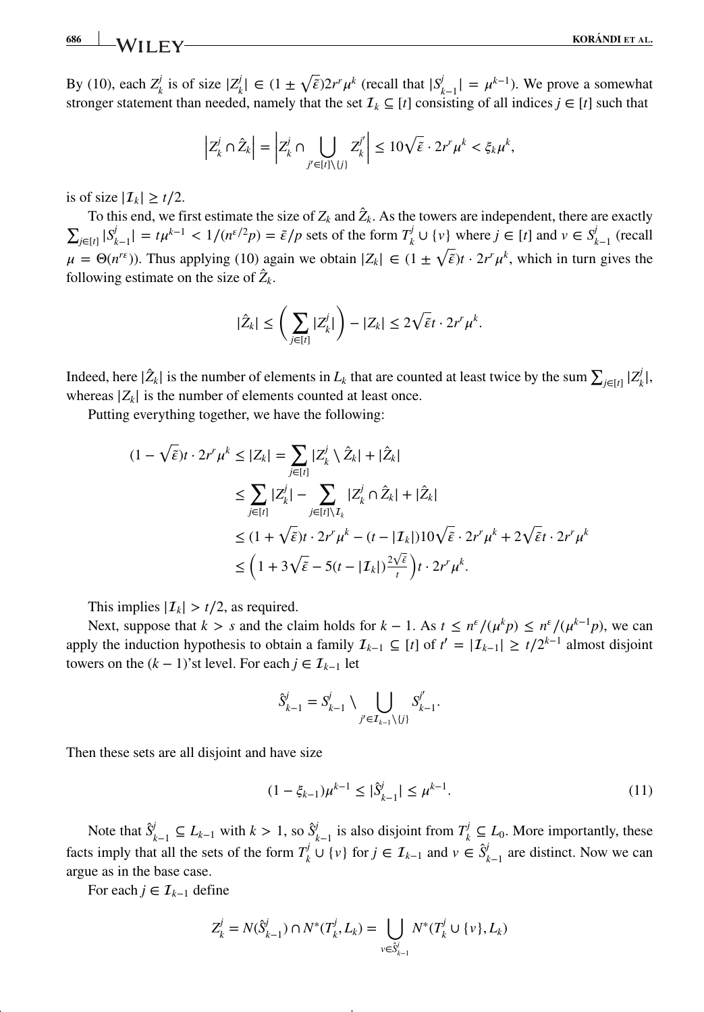By (10), each  $Z^j_k$  is of size  $|Z^j_k| \in (1 \pm \sqrt{\varepsilon})2r^r\mu^k$  (recall that  $|S^j_{k-1}| = \mu^{k-1}$ ). We prove a somewhat stronger statement than needed, namely that the set  $\mathcal{I}_k \subseteq [t]$  consisting of all indices  $j \in [t]$  such that

$$
\left| Z_{k}^{j} \cap \hat{Z}_{k} \right| = \left| Z_{k}^{j} \cap \bigcup_{j' \in [t] \setminus \{j\}} Z_{k}^{j'} \right| \leq 10 \sqrt{\tilde{\varepsilon}} \cdot 2r^{r} \mu^{k} < \xi_{k} \mu^{k},
$$

is of size  $|\mathcal{I}_k| \ge t/2$ .

To this end, we first estimate the size of  $Z_k$  and  $\hat{Z}_k$ . As the towers are independent, there are exactly  $\sum_{j\in[t]} |S_{k-1}^j| = t\mu^{k-1} < 1/(n^{\epsilon/2}p) = \tilde{\epsilon}/p$  sets of the form  $T_k^j \cup \{v\}$  where  $j \in [t]$  and  $v \in S_{k-1}^j$  (recall  $\mu = \Theta(n^{r\epsilon})$ ). Thus applying (10) again we obtain  $|Z_k| \in (1 \pm \sqrt{\tilde{\epsilon}})t \cdot 2r^r\mu^k$ , which in turn gives the following estimate on the size of  $\hat{Z}_k$ .

$$
|\hat{Z}_k| \leq \left(\sum_{j\in [t]} |Z_{k}^j|\right) - |Z_k| \leq 2\sqrt{\tilde{\varepsilon}}t \cdot 2r^r\mu^k.
$$

Indeed, here  $|\hat{Z}_k|$  is the number of elements in  $L_k$  that are counted at least twice by the sum  $\sum_{j\in[t]} |Z_k^j|$ , whereas  $|Z_k|$  is the number of elements counted at least once.

Putting everything together, we have the following:

$$
(1 - \sqrt{\tilde{\varepsilon}})t \cdot 2r^r \mu^k \le |Z_k| = \sum_{j \in [t]} |Z_k^j \setminus \hat{Z}_k| + |\hat{Z}_k|
$$
  
\n
$$
\le \sum_{j \in [t]} |Z_k^j| - \sum_{j \in [t] \setminus \mathcal{I}_k} |Z_k^j \cap \hat{Z}_k| + |\hat{Z}_k|
$$
  
\n
$$
\le (1 + \sqrt{\tilde{\varepsilon}})t \cdot 2r^r \mu^k - (t - |I_k|)10\sqrt{\tilde{\varepsilon}} \cdot 2r^r \mu^k + 2\sqrt{\tilde{\varepsilon}}t \cdot 2r^r \mu^k
$$
  
\n
$$
\le \left(1 + 3\sqrt{\tilde{\varepsilon}} - 5(t - |I_k|) \frac{2\sqrt{\tilde{\varepsilon}}}{t}\right)t \cdot 2r^r \mu^k.
$$

This implies  $|\mathcal{I}_k| > t/2$ , as required.

Next, suppose that  $k > s$  and the claim holds for  $k - 1$ . As  $t \leq n^{\epsilon}/(\mu^k p) \leq n^{\epsilon}/(\mu^{k-1} p)$ , we can apply the induction hypothesis to obtain a family  $\mathcal{I}_{k-1} \subseteq [t]$  of  $t' = |\mathcal{I}_{k-1}| \ge t/2^{k-1}$  almost disjoint towers on the  $(k - 1)$ 'st level. For each  $j \in I_{k-1}$  let

$$
\hat{S}_{k-1}^j = S_{k-1}^j \setminus \bigcup_{j' \in \mathcal{I}_{k-1} \setminus \{j\}} S_{k-1}^{j'}.
$$

Then these sets are all disjoint and have size

$$
(1 - \xi_{k-1})\mu^{k-1} \le |\hat{S}_{k-1}^j| \le \mu^{k-1}.
$$
 (11)

Note that  $\hat{S}^j_{k-1}$  ⊆  $L_{k-1}$  with  $k > 1$ , so  $\hat{S}^j_{k-1}$  is also disjoint from  $T^j_k$  ⊆  $L_0$ . More importantly, these facts imply that all the sets of the form  $T^j_k \cup \{v\}$  for  $j \in \mathcal{I}_{k-1}$  and  $v \in \hat{S}^j_{k-1}$  are distinct. Now we can argue as in the base case.

For each  $j \in \mathcal{I}_{k-1}$  define

$$
Z_k^j = N(\hat{S}_{k-1}^j) \cap N^*(T_k^j, L_k) = \bigcup_{v \in \hat{S}_{k-1}^j} N^*(T_k^j \cup \{v\}, L_k)
$$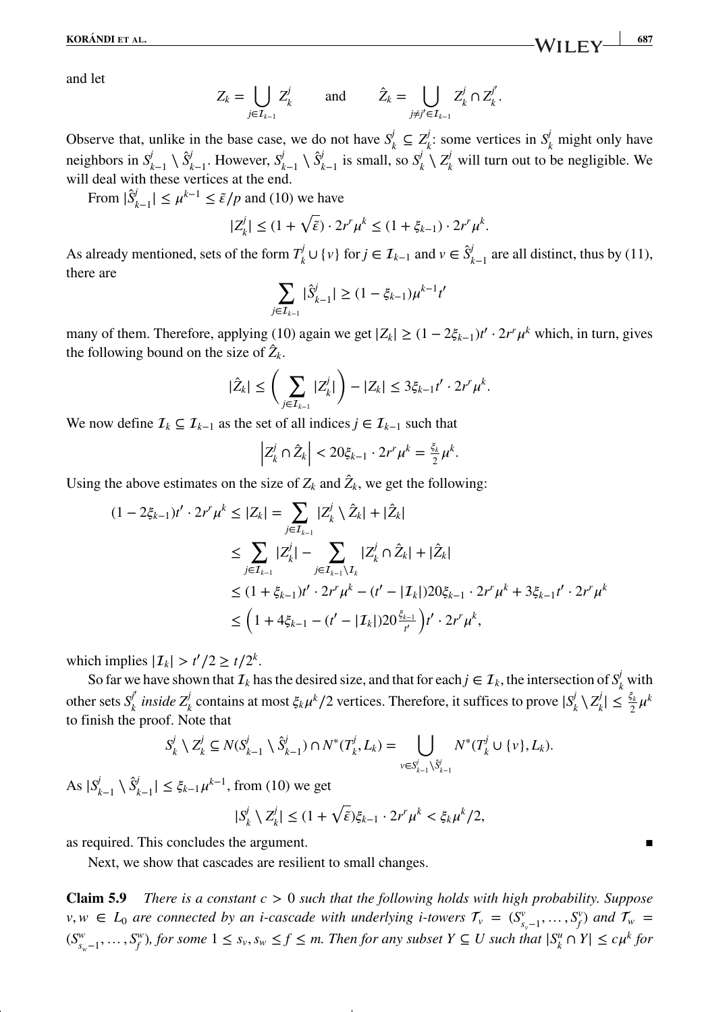and let

$$
Z_k = \bigcup_{j \in \mathcal{I}_{k-1}} Z_k^j \quad \text{and} \quad \hat{Z}_k = \bigcup_{j \neq j' \in \mathcal{I}_{k-1}} Z_k^j \cap Z_k^{j'}.
$$

Observe that, unlike in the base case, we do not have  $S^j_k \subseteq Z^j_k$ : some vertices in  $S^j_k$  might only have neighbors in  $S_{k-1}^j \setminus \hat{S}_{k-1}^j$ . However,  $S_{k-1}^j \setminus \hat{S}_{k-1}^j$  is small, so  $S_k^j \setminus Z_k^j$  will turn out to be negligible. We will deal with these vertices at the end.

From  $|\hat{S}^j_{k-1}| \leq \mu^{k-1} \leq \tilde{\varepsilon}/p$  and (10) we have

$$
|Z_k^j| \le (1+\sqrt{\tilde{\varepsilon}}) \cdot 2r^r \mu^k \le (1+\xi_{k-1}) \cdot 2r^r \mu^k.
$$

As already mentioned, sets of the form  $T^j_k \cup \{v\}$  for  $j \in \mathcal{I}_{k-1}$  and  $v \in \hat{S}^j_{k-1}$  are all distinct, thus by (11), there are

$$
\sum_{j\in I_{k-1}}|\hat{S}_{k-1}^j|\geq (1-\xi_{k-1})\mu^{k-1}t'
$$

many of them. Therefore, applying (10) again we get  $|Z_k| \ge (1 - 2\xi_{k-1})t' \cdot 2r^r\mu^k$  which, in turn, gives the following bound on the size of  $\hat{Z}_k$ .

$$
|\hat{Z}_k| \leq \left(\sum_{j\in\mathcal{I}_{k-1}}|Z_k^j|\right) - |Z_k| \leq 3\xi_{k-1}t'\cdot 2r^r\mu^k.
$$

We now define  $\mathcal{I}_k \subseteq \mathcal{I}_{k-1}$  as the set of all indices  $j \in \mathcal{I}_{k-1}$  such that

$$
\left|Z_k^j\cap \hat{Z}_k\right|<20\xi_{k-1}\cdot 2r^r\mu^k=\frac{\xi_k}{2}\mu^k.
$$

Using the above estimates on the size of  $Z_k$  and  $\hat{Z}_k$ , we get the following:

$$
(1 - 2\xi_{k-1})t' \cdot 2r^{r}\mu^{k} \le |Z_{k}| = \sum_{j \in \mathcal{I}_{k-1}} |Z_{k}^{j} \setminus \hat{Z}_{k}| + |\hat{Z}_{k}|
$$
  
\n
$$
\le \sum_{j \in \mathcal{I}_{k-1}} |Z_{k}^{j}| - \sum_{j \in \mathcal{I}_{k-1} \setminus \mathcal{I}_{k}} |Z_{k}^{j} \cap \hat{Z}_{k}| + |\hat{Z}_{k}|
$$
  
\n
$$
\le (1 + \xi_{k-1})t' \cdot 2r^{r}\mu^{k} - (t' - |\mathcal{I}_{k}|)20\xi_{k-1} \cdot 2r^{r}\mu^{k} + 3\xi_{k-1}t' \cdot 2r^{r}\mu^{k}
$$
  
\n
$$
\le \left(1 + 4\xi_{k-1} - (t' - |\mathcal{I}_{k}|)20\frac{\xi_{k-1}}{t'}\right)t' \cdot 2r^{r}\mu^{k},
$$

which implies  $|I_k| > t'/2 \ge t/2^k$ .

So far we have shown that  $\mathcal{I}_k$  has the desired size, and that for each  $j \in \mathcal{I}_k$ , the intersection of  $S_k^j$  with other sets  $S_k^{j'}$  *inside*  $Z_k^j$  contains at most  $\xi_k \mu^k/2$  vertices. Therefore, it suffices to prove  $|S_k^j \setminus Z_k^j| \le \frac{\xi_k}{2} \mu^k$ to finish the proof. Note that

$$
S_k^j \setminus Z_k^j \subseteq N(S_{k-1}^j \setminus \hat{S}_{k-1}^j) \cap N^*(T_k^j, L_k) = \bigcup_{v \in S_{k-1}^j \setminus \hat{S}_{k-1}^j} N^*(T_k^j \cup \{v\}, L_k).
$$

As  $|S_{k-1}^j \setminus \hat{S}_{k-1}^j| \leq \xi_{k-1} \mu^{k-1}$ , from (10) we get

$$
|S_k^j \setminus Z_k^j| \le (1 + \sqrt{\tilde{\varepsilon}})\xi_{k-1} \cdot 2r^r \mu^k < \xi_k \mu^k / 2,
$$

as required. This concludes the argument.

Next, we show that cascades are resilient to small changes.

**Claim 5.9** *There is a constant c >* 0 *such that the following holds with high probability. Suppose v*, *w* ∈ *L*<sub>0</sub> are connected by an *i*-cascade with underlying *i*-towers  $\mathcal{T}_v$  = ( $S^v_{s_v-1}, \ldots, S^v_f$ ) and  $\mathcal{T}_w$  =  $(S_{s_w-1}^w, \ldots, S_f^w)$ , for some  $1 \leq s_v, s_w \leq f \leq m$ . Then for any subset  $Y \subseteq U$  such that  $|S_k^u \cap Y| \leq c\mu^k$  for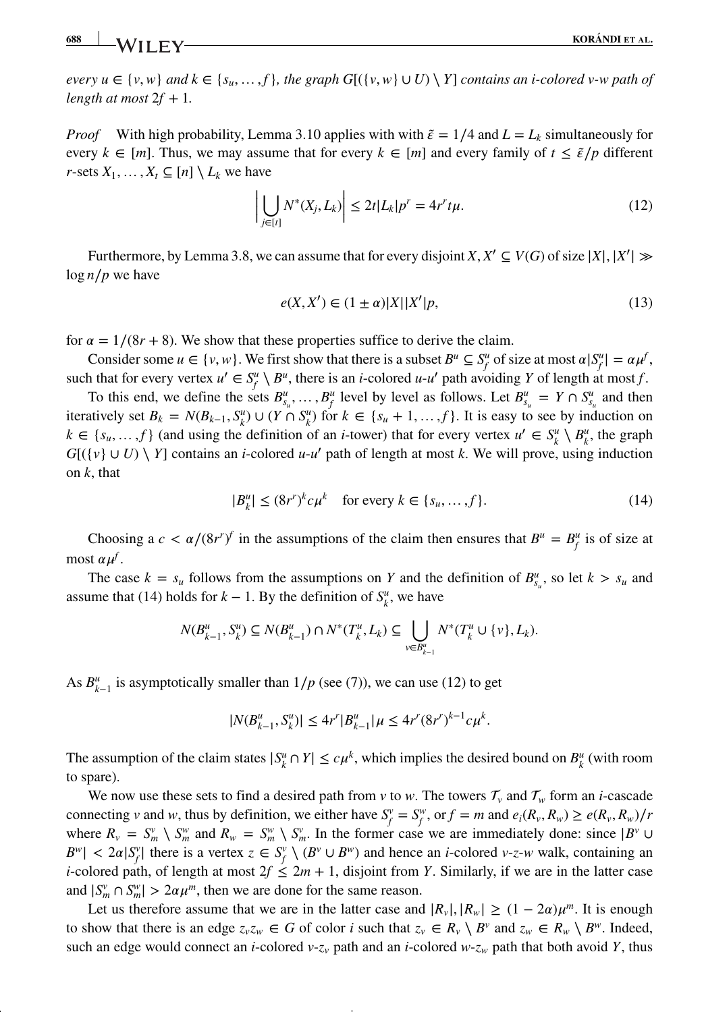**688 KORÁNDI ET AL. KORÁNDI ET AL.** 

*every*  $u \in \{v, w\}$  *and*  $k \in \{s_u, ..., f\}$ *, the graph*  $G[(\{v, w\} \cup U) \setminus Y]$  *contains an i-colored v-w path of length at most*  $2f + 1$ *.* 

*Proof* With high probability, Lemma 3.10 applies with with  $\tilde{\epsilon} = 1/4$  and  $L = L_k$  simultaneously for every  $k \in [m]$ . Thus, we may assume that for every  $k \in [m]$  and every family of  $t \leq \tilde{\epsilon}/p$  different *r*-sets  $X_1, \ldots, X_t \subseteq [n] \setminus L_k$  we have

$$
\left| \bigcup_{j \in [t]} N^*(X_j, L_k) \right| \le 2t |L_k| p^r = 4r^r t \mu. \tag{12}
$$

Furthermore, by Lemma 3.8, we can assume that for every disjoint  $X, X' \subseteq V(G)$  of size  $|X|, |X'| \gg$ log *n*∕*p* we have

$$
e(X, X') \in (1 \pm \alpha)|X||X'|p,\tag{13}
$$

for  $\alpha = 1/(8r + 8)$ . We show that these properties suffice to derive the claim.

Consider some  $u \in \{v, w\}$ . We first show that there is a subset  $B^u \subseteq S^u$  of size at most  $\alpha |S^u| = \alpha \mu^f$ , such that for every vertex  $u' \in S_f^u \setminus B^u$ , there is an *i*-colored  $u \cdot u'$  path avoiding *Y* of length at most *f*.

To this end, we define the sets  $B_{s_u}^u, \ldots, B_f^u$  level by level as follows. Let  $B_{s_u}^u = Y \cap S_{s_u}^u$  and then iteratively set  $B_k = N(B_{k-1}, S_k^u) \cup (Y \cap S_k^u)$  for  $k \in \{s_u + 1, \ldots, f\}$ . It is easy to see by induction on  $k \in \{s_u, ..., f\}$  (and using the definition of an *i*-tower) that for every vertex  $u' \in S_k^u \setminus B_k^u$ , the graph  $G[(\{v\} \cup U) \setminus Y]$  contains an *i*-colored *u*-*u'* path of length at most *k*. We will prove, using induction on *k*, that

$$
|B_k^u| \le (8r^r)^k c \mu^k \quad \text{for every } k \in \{s_u, \dots, f\}.
$$
 (14)

Choosing a  $c < \alpha/(8r^r)^f$  in the assumptions of the claim then ensures that  $B^u = B^u_f$  is of size at most  $\alpha \mu^f$ .

The case  $k = s_u$  follows from the assumptions on *Y* and the definition of  $B_{s_u}^u$ , so let  $k > s_u$  and assume that (14) holds for  $k - 1$ . By the definition of  $S_k^u$ , we have

$$
N(B_{k-1}^u, S_k^u) \subseteq N(B_{k-1}^u) \cap N^*(T_k^u, L_k) \subseteq \bigcup_{v \in B_{k-1}^u} N^*(T_k^u \cup \{v\}, L_k).
$$

As  $B_{k-1}^u$  is asymptotically smaller than  $1/p$  (see (7)), we can use (12) to get

$$
|N(B_{k-1}^u, S_k^u)| \le 4r^r |B_{k-1}^u| \mu \le 4r^r (8r^r)^{k-1} c \mu^k.
$$

The assumption of the claim states  $|S_k^u \cap Y| \le c\mu^k$ , which implies the desired bound on  $B_k^u$  (with room to spare).

We now use these sets to find a desired path from *v* to *w*. The towers  $\mathcal{T}_v$  and  $\mathcal{T}_w$  form an *i*-cascade connecting v and w, thus by definition, we either have  $S_f^v = S_f^w$ , or  $f = m$  and  $e_i(R_v, R_w) \ge e(R_v, R_w)/r$ where  $R_v = S_w^v \setminus S_w^w$  and  $R_w = S_w^w \setminus S_w^v$ . In the former case we are immediately done: since  $|B^v \cup B^w| \geq 2$  $B^{\nu}$  <  $2\alpha |S_f^{\nu}|$  there is a vertex  $z \in S_f^{\nu} \setminus (B^{\nu} \cup B^{\nu})$  and hence an *i*-colored *v*-z-*w* walk, containing an *i*-colored path, of length at most  $2f \leq 2m + 1$ , disjoint from *Y*. Similarly, if we are in the latter case and  $|S_m^v \cap S_m^w| > 2\alpha \mu^m$ , then we are done for the same reason.

Let us therefore assume that we are in the latter case and  $|R_v|, |R_w| \ge (1 - 2\alpha)\mu^m$ . It is enough to show that there is an edge  $z_vz_w \in G$  of color *i* such that  $z_v \in R_v \setminus B^v$  and  $z_w \in R_w \setminus B^w$ . Indeed, such an edge would connect an *i*-colored  $v-z_v$  path and an *i*-colored  $w-z_w$  path that both avoid *Y*, thus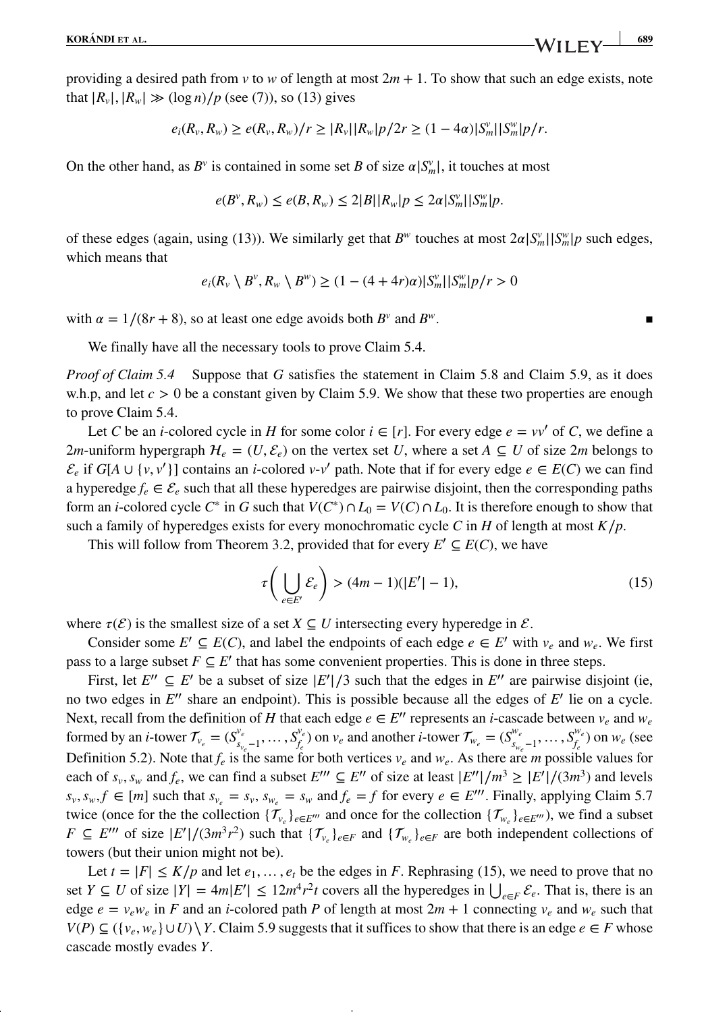providing a desired path from *v* to *w* of length at most 2*m* + 1. To show that such an edge exists, note that  $|R_v|, |R_w| \gg (\log n)/p$  (see (7)), so (13) gives

$$
e_i(R_v, R_w) \ge e(R_v, R_w)/r \ge |R_v||R_w|p/2r \ge (1-4\alpha)|S_m^v||S_m^w|p/r.
$$

On the other hand, as  $B^v$  is contained in some set *B* of size  $\alpha |S_m^v|$ , it touches at most

$$
e(B^{\nu}, R_{\nu}) \le e(B, R_{\nu}) \le 2|B||R_{\nu}|p \le 2\alpha|S_{m}^{\nu}||S_{m}^{\nu}|p.
$$

of these edges (again, using (13)). We similarly get that  $B^w$  touches at most  $2\alpha|S_m^v||S_m^w|p$  such edges, which means that

$$
e_i(R_v \setminus B^v, R_w \setminus B^w) \ge (1 - (4 + 4r)\alpha)|S_m^v||S_m^w||p/r > 0
$$

with  $\alpha = 1/(8r + 8)$ , so at least one edge avoids both  $B^v$  and  $B^w$ .

We finally have all the necessary tools to prove Claim 5.4.

*Proof of Claim 5.4* Suppose that *G* satisfies the statement in Claim 5.8 and Claim 5.9, as it does w.h.p, and let  $c > 0$  be a constant given by Claim 5.9. We show that these two properties are enough to prove Claim 5.4.

Let *C* be an *i*-colored cycle in *H* for some color  $i \in [r]$ . For every edge  $e = vv'$  of *C*, we define a 2*m*-uniform hypergraph  $H_e = (U, \mathcal{E}_e)$  on the vertex set *U*, where a set  $A \subseteq U$  of size 2*m* belongs to  $\mathcal{E}_e$  if  $G[A \cup \{v, v'\}]$  contains an *i*-colored *v*-*v'* path. Note that if for every edge  $e \in E(C)$  we can find a hyperedge  $f_e \in \mathcal{E}_e$  such that all these hyperedges are pairwise disjoint, then the corresponding paths form an *i*-colored cycle  $C^*$  in *G* such that  $V(C^*) \cap L_0 = V(C) \cap L_0$ . It is therefore enough to show that such a family of hyperedges exists for every monochromatic cycle *C* in *H* of length at most  $K/p$ .

This will follow from Theorem 3.2, provided that for every  $E' \subseteq E(C)$ , we have

$$
\tau\left(\bigcup_{e\in E'} \mathcal{E}_e\right) > (4m-1)(|E'| - 1),\tag{15}
$$

where  $\tau(\mathcal{E})$  is the smallest size of a set *X*  $\subseteq$  *U* intersecting every hyperedge in  $\mathcal{E}$ .

Consider some  $E' \subseteq E(C)$ , and label the endpoints of each edge  $e \in E'$  with  $v_e$  and  $w_e$ . We first pass to a large subset  $F \subseteq E'$  that has some convenient properties. This is done in three steps.

First, let  $E'' \subseteq E'$  be a subset of size  $|E'|/3$  such that the edges in  $E''$  are pairwise disjoint (ie, no two edges in *E*′′ share an endpoint). This is possible because all the edges of *E*′ lie on a cycle. Next, recall from the definition of *H* that each edge  $e \in E''$  represents an *i*-cascade between  $v_e$  and  $w_e$ formed by an *i*-tower  $\mathcal{T}_{v_e} = (S_{s_{v_e}-1}^{v_e}, \dots, S_{f_e}^{v_e})$ *f<sub>e</sub>* on *v<sub>e</sub>* and another *i*-tower  $\mathcal{T}_{w_e} = (S_{s_{w_e}-1}^{w_e}, \dots, S_{f_e}^{w_e})$  $\binom{w_e}{f_e}$  on  $w_e$  (see Definition 5.2). Note that  $f_e$  is the same for both vertices  $v_e$  and  $w_e$ . As there are *m* possible values for each of  $s_v$ ,  $s_w$  and  $f_e$ , we can find a subset  $E'''\subseteq E''$  of size at least  $|E''|/m^3 \ge |E'|/(3m^3)$  and levels  $s_v, s_w, f \in [m]$  such that  $s_v = s_v, s_w = s_w$  and  $f_e = f$  for every  $e \in E''$ . Finally, applying Claim 5.7 twice (once for the the collection  $\{\mathcal{T}_{v_e}\}_{e \in E'''}$  and once for the collection  $\{\mathcal{T}_{w_e}\}_{e \in E'''}$ ), we find a subset *F* ⊆ *E*<sup>*'''*</sup> of size  $|E'|/(3m^3r^2)$  such that  $\{\mathcal{T}_{v_e}\}_{e \in F}$  and  $\{\mathcal{T}_{w_e}\}_{e \in F}$  are both independent collections of towers (but their union might not be).

Let  $t = |F| \leq K/p$  and let  $e_1, \ldots, e_t$  be the edges in *F*. Rephrasing (15), we need to prove that no set *Y* ⊆ *U* of size  $|Y| = 4m|E'|\le 12m^4r^2t$  covers all the hyperedges in  $\bigcup_{e \in F} \mathcal{E}_e$ . That is, there is an edge  $e = v_e w_e$  in *F* and an *i*-colored path *P* of length at most  $2m + 1$  connecting  $v_e$  and  $w_e$  such that  $V(P) \subseteq (\{v_e, w_e\} \cup U) \setminus Y$ . Claim 5.9 suggests that it suffices to show that there is an edge  $e \in F$  whose cascade mostly evades *Y*.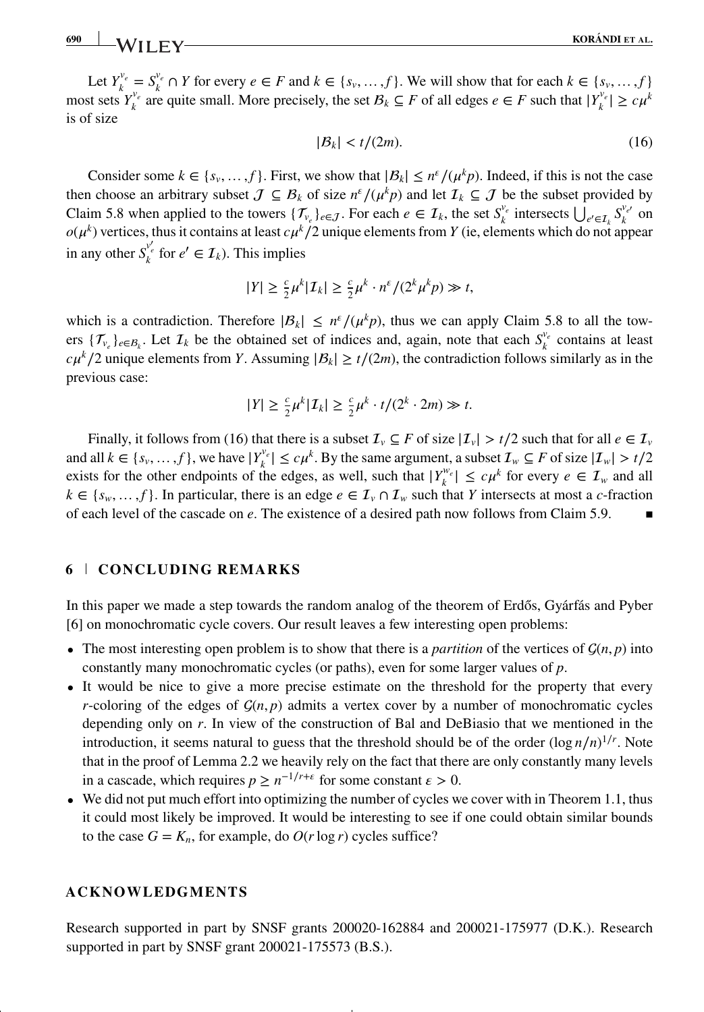Let  $Y_k^{v_e} = S_k^{v_e} \cap Y$  for every  $e \in F$  and  $k \in \{s_v, \ldots, f\}$ . We will show that for each  $k \in \{s_v, \ldots, f\}$ . most sets  $Y_k^v$  are quite small. More precisely, the set  $B_k$  ⊆ *F* of all edges  $e \in F$  such that  $|Y_k^v| \ge c\mu^k$ is of size

$$
|B_k| < t/(2m). \tag{16}
$$

Consider some  $k \in \{s_v, ..., f\}$ . First, we show that  $|\mathcal{B}_k| \le n^{\epsilon}/(\mu^k p)$ . Indeed, if this is not the case then choose an arbitrary subset  $J \subseteq B_k$  of size  $n^{\epsilon}/(\mu^k p)$  and let  $\mathcal{I}_k \subseteq J$  be the subset provided by Claim 5.8 when applied to the towers  $\{\mathcal{T}_{v_e}\}_{e \in \mathcal{J}}$ . For each  $e \in \mathcal{I}_k$ , the set  $S_k^{v_e}$  intersects  $\bigcup_{e' \in \mathcal{I}_k} S_k^{v_{e'}}$  on  $o(\mu^k)$  vertices, thus it contains at least  $c\mu^k/2$  unique elements from *Y* (ie, elements which do not appear in any other  $S_k^{v'_e}$  for  $e' \in I_k$ ). This implies

$$
|Y| \geq \frac{c}{2}\mu^k |I_k| \geq \frac{c}{2}\mu^k \cdot n^{\varepsilon}/(2^k \mu^k p) \gg t,
$$

which is a contradiction. Therefore  $|\mathcal{B}_k| \leq n^{\epsilon}/(\mu^k p)$ , thus we can apply Claim 5.8 to all the towers  $\{\mathcal{T}_{v_e}\}_{e \in \mathcal{B}_k}$ . Let  $\mathcal{I}_k$  be the obtained set of indices and, again, note that each  $S_k^{v_e}$  contains at least  $c\mu^k/2$  unique elements from *Y*. Assuming  $|\mathcal{B}_k| \ge t/(2m)$ , the contradiction follows similarly as in the previous case:

$$
|Y| \geq \frac{c}{2}\mu^k |I_k| \geq \frac{c}{2}\mu^k \cdot t/(2^k \cdot 2m) \gg t.
$$

Finally, it follows from (16) that there is a subset  $\mathcal{I}_v \subseteq F$  of size  $|\mathcal{I}_v| > t/2$  such that for all  $e \in \mathcal{I}_v$ and all  $k \in \{s_v, ..., f\}$ , we have  $|Y_k^v| \leq c\mu^k$ . By the same argument, a subset  $\mathcal{I}_w \subseteq F$  of size  $|\mathcal{I}_w| > t/2$ exists for the other endpoints of the edges, as well, such that  $|Y_k^w| \leq c\mu^k$  for every  $e \in \mathcal{I}_w$  and all  $k \in \{s_w, \ldots, f\}$ . In particular, there is an edge  $e \in \mathcal{I}_v \cap \mathcal{I}_w$  such that *Y* intersects at most a *c*-fraction of each level of the cascade on *e*. The existence of a desired path now follows from Claim 5.9.

## **6 CONCLUDING REMARKS**

In this paper we made a step towards the random analog of the theorem of Erdős, Gyárfás and Pyber [6] on monochromatic cycle covers. Our result leaves a few interesting open problems:

- The most interesting open problem is to show that there is a *partition* of the vertices of  $\mathcal{G}(n, p)$  into constantly many monochromatic cycles (or paths), even for some larger values of *p*.
- It would be nice to give a more precise estimate on the threshold for the property that every *r*-coloring of the edges of  $G(n, p)$  admits a vertex cover by a number of monochromatic cycles depending only on *r*. In view of the construction of Bal and DeBiasio that we mentioned in the introduction, it seems natural to guess that the threshold should be of the order  $(\log n/n)^{1/r}$ . Note that in the proof of Lemma 2.2 we heavily rely on the fact that there are only constantly many levels in a cascade, which requires  $p \geq n^{-1/r + \epsilon}$  for some constant  $\epsilon > 0$ .
- We did not put much effort into optimizing the number of cycles we cover with in Theorem 1.1, thus it could most likely be improved. It would be interesting to see if one could obtain similar bounds to the case  $G = K_n$ , for example, do  $O(r \log r)$  cycles suffice?

## **ACKNOWLEDGMENTS**

Research supported in part by SNSF grants 200020-162884 and 200021-175977 (D.K.). Research supported in part by SNSF grant 200021-175573 (B.S.).